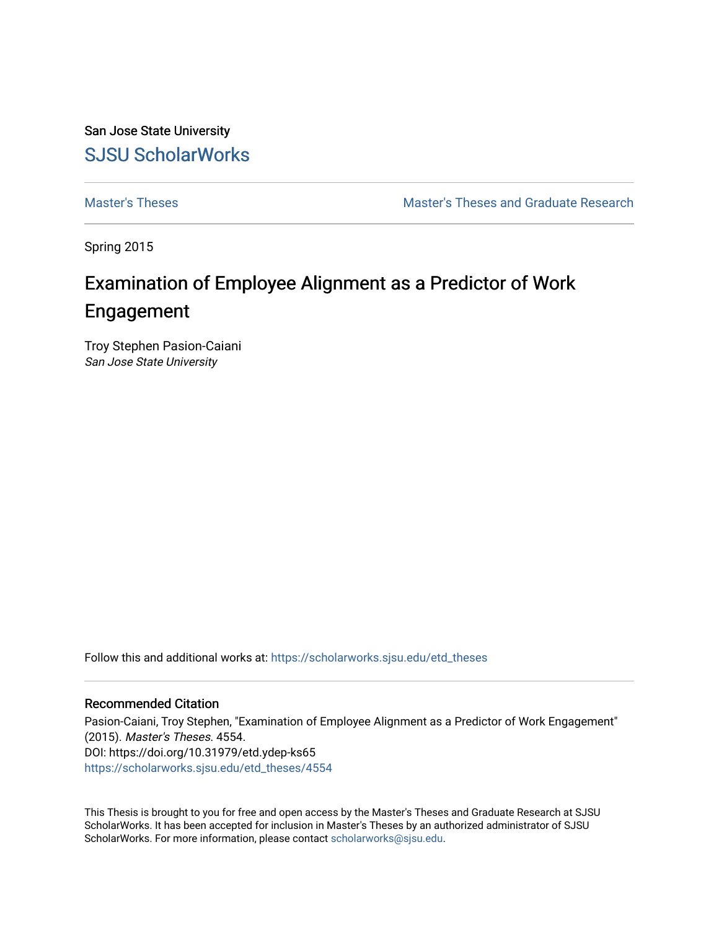San Jose State University [SJSU ScholarWorks](https://scholarworks.sjsu.edu/) 

[Master's Theses](https://scholarworks.sjsu.edu/etd_theses) [Master's Theses and Graduate Research](https://scholarworks.sjsu.edu/etd) 

Spring 2015

# Examination of Employee Alignment as a Predictor of Work Engagement

Troy Stephen Pasion-Caiani San Jose State University

Follow this and additional works at: [https://scholarworks.sjsu.edu/etd\\_theses](https://scholarworks.sjsu.edu/etd_theses?utm_source=scholarworks.sjsu.edu%2Fetd_theses%2F4554&utm_medium=PDF&utm_campaign=PDFCoverPages)

#### Recommended Citation

Pasion-Caiani, Troy Stephen, "Examination of Employee Alignment as a Predictor of Work Engagement" (2015). Master's Theses. 4554. DOI: https://doi.org/10.31979/etd.ydep-ks65 [https://scholarworks.sjsu.edu/etd\\_theses/4554](https://scholarworks.sjsu.edu/etd_theses/4554?utm_source=scholarworks.sjsu.edu%2Fetd_theses%2F4554&utm_medium=PDF&utm_campaign=PDFCoverPages)

This Thesis is brought to you for free and open access by the Master's Theses and Graduate Research at SJSU ScholarWorks. It has been accepted for inclusion in Master's Theses by an authorized administrator of SJSU ScholarWorks. For more information, please contact [scholarworks@sjsu.edu](mailto:scholarworks@sjsu.edu).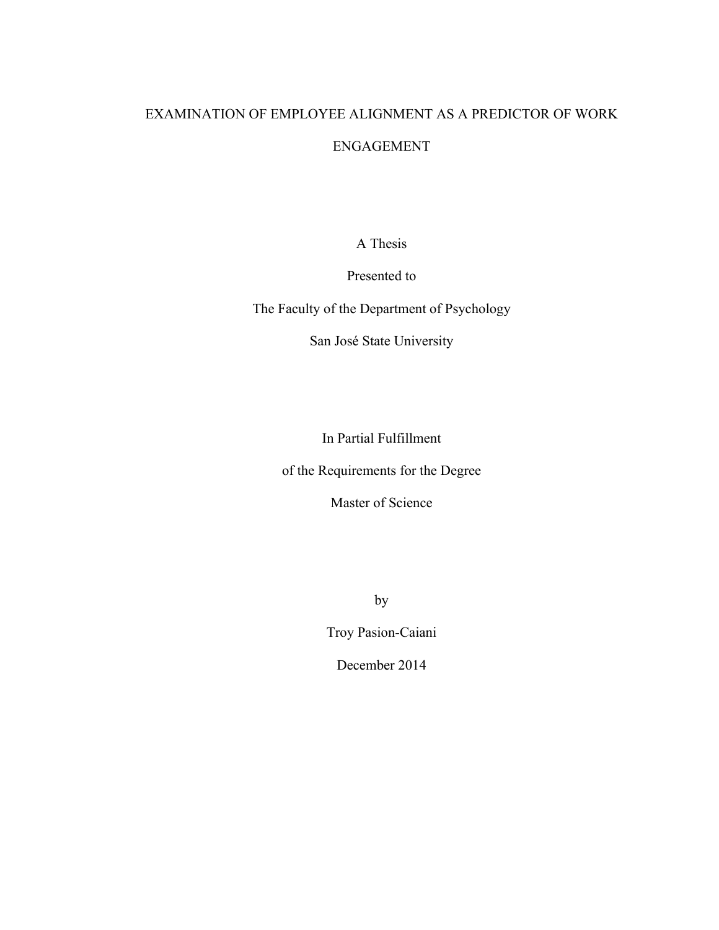# EXAMINATION OF EMPLOYEE ALIGNMENT AS A PREDICTOR OF WORK ENGAGEMENT

A Thesis

Presented to

The Faculty of the Department of Psychology

San José State University

In Partial Fulfillment

of the Requirements for the Degree

Master of Science

by

Troy Pasion-Caiani

December 2014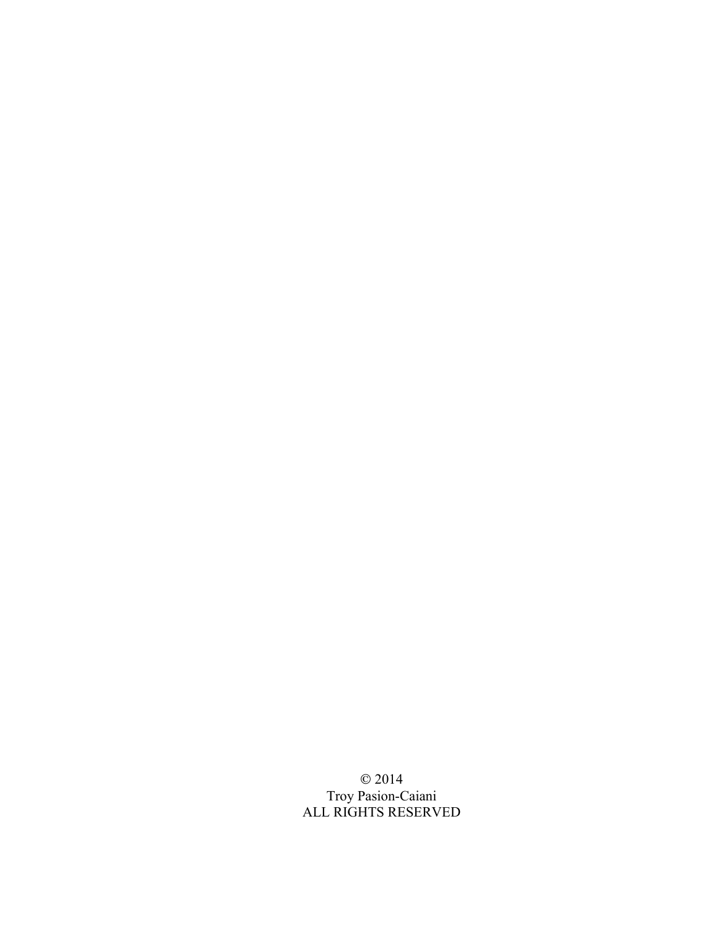© 2014 Troy Pasion-Caiani ALL RIGHTS RESERVED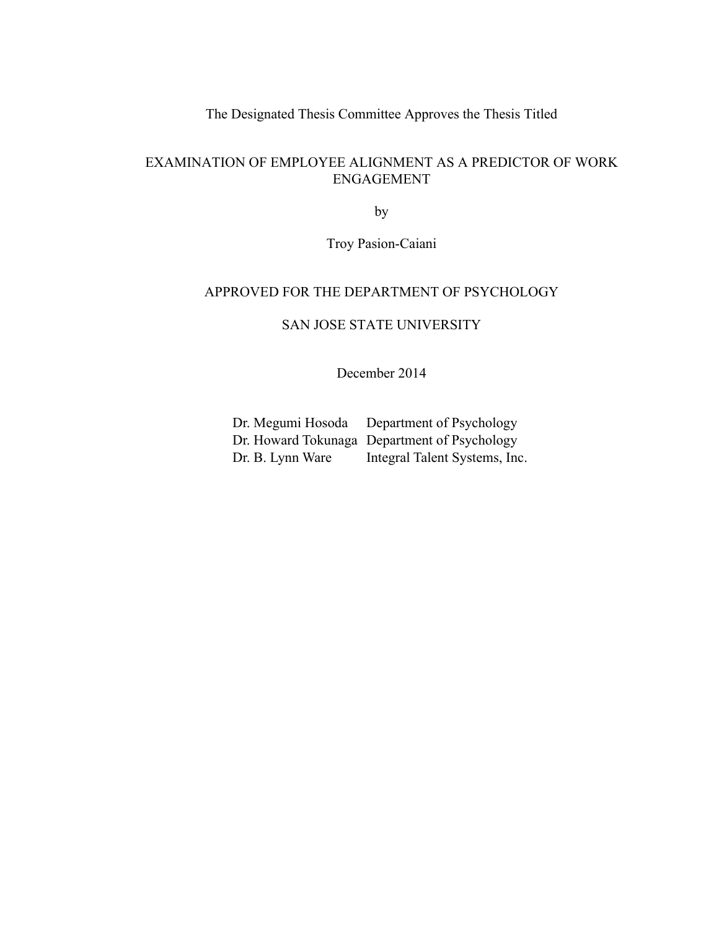The Designated Thesis Committee Approves the Thesis Titled

# EXAMINATION OF EMPLOYEE ALIGNMENT AS A PREDICTOR OF WORK ENGAGEMENT

by

Troy Pasion-Caiani

# APPROVED FOR THE DEPARTMENT OF PSYCHOLOGY

SAN JOSE STATE UNIVERSITY

December 2014

Dr. Megumi Hosoda Department of Psychology Dr. Howard Tokunaga Department of Psychology Dr. B. Lynn Ware Integral Talent Systems, Inc.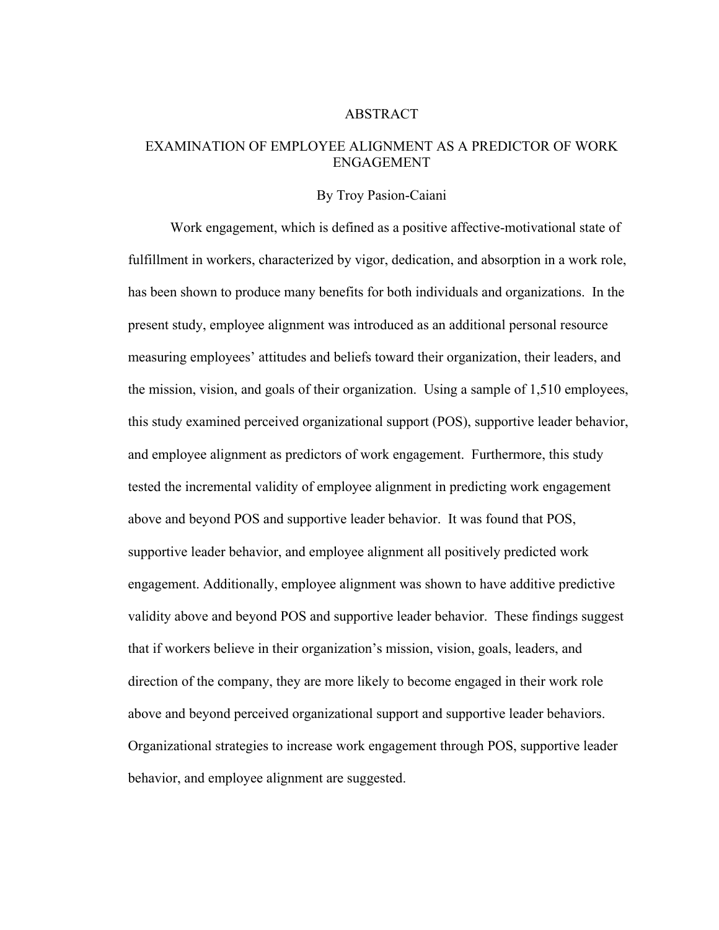#### ABSTRACT

# EXAMINATION OF EMPLOYEE ALIGNMENT AS A PREDICTOR OF WORK ENGAGEMENT

#### By Troy Pasion-Caiani

Work engagement, which is defined as a positive affective-motivational state of fulfillment in workers, characterized by vigor, dedication, and absorption in a work role, has been shown to produce many benefits for both individuals and organizations. In the present study, employee alignment was introduced as an additional personal resource measuring employees' attitudes and beliefs toward their organization, their leaders, and the mission, vision, and goals of their organization. Using a sample of 1,510 employees, this study examined perceived organizational support (POS), supportive leader behavior, and employee alignment as predictors of work engagement. Furthermore, this study tested the incremental validity of employee alignment in predicting work engagement above and beyond POS and supportive leader behavior. It was found that POS, supportive leader behavior, and employee alignment all positively predicted work engagement. Additionally, employee alignment was shown to have additive predictive validity above and beyond POS and supportive leader behavior. These findings suggest that if workers believe in their organization's mission, vision, goals, leaders, and direction of the company, they are more likely to become engaged in their work role above and beyond perceived organizational support and supportive leader behaviors. Organizational strategies to increase work engagement through POS, supportive leader behavior, and employee alignment are suggested.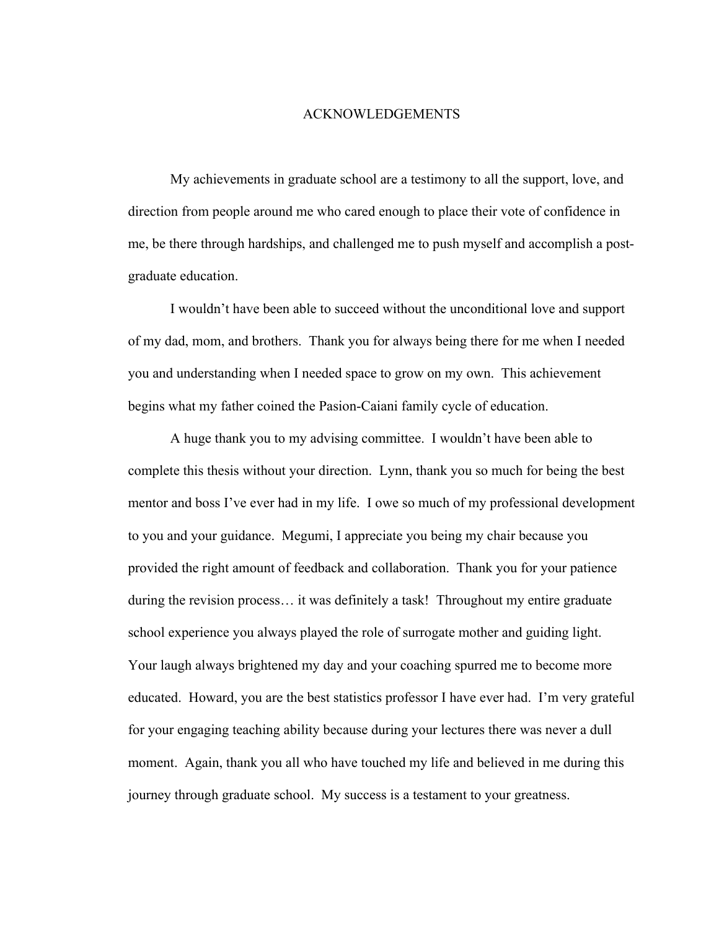#### ACKNOWLEDGEMENTS

My achievements in graduate school are a testimony to all the support, love, and direction from people around me who cared enough to place their vote of confidence in me, be there through hardships, and challenged me to push myself and accomplish a postgraduate education.

I wouldn't have been able to succeed without the unconditional love and support of my dad, mom, and brothers. Thank you for always being there for me when I needed you and understanding when I needed space to grow on my own. This achievement begins what my father coined the Pasion-Caiani family cycle of education.

A huge thank you to my advising committee. I wouldn't have been able to complete this thesis without your direction. Lynn, thank you so much for being the best mentor and boss I've ever had in my life. I owe so much of my professional development to you and your guidance. Megumi, I appreciate you being my chair because you provided the right amount of feedback and collaboration. Thank you for your patience during the revision process… it was definitely a task! Throughout my entire graduate school experience you always played the role of surrogate mother and guiding light. Your laugh always brightened my day and your coaching spurred me to become more educated. Howard, you are the best statistics professor I have ever had. I'm very grateful for your engaging teaching ability because during your lectures there was never a dull moment. Again, thank you all who have touched my life and believed in me during this journey through graduate school. My success is a testament to your greatness.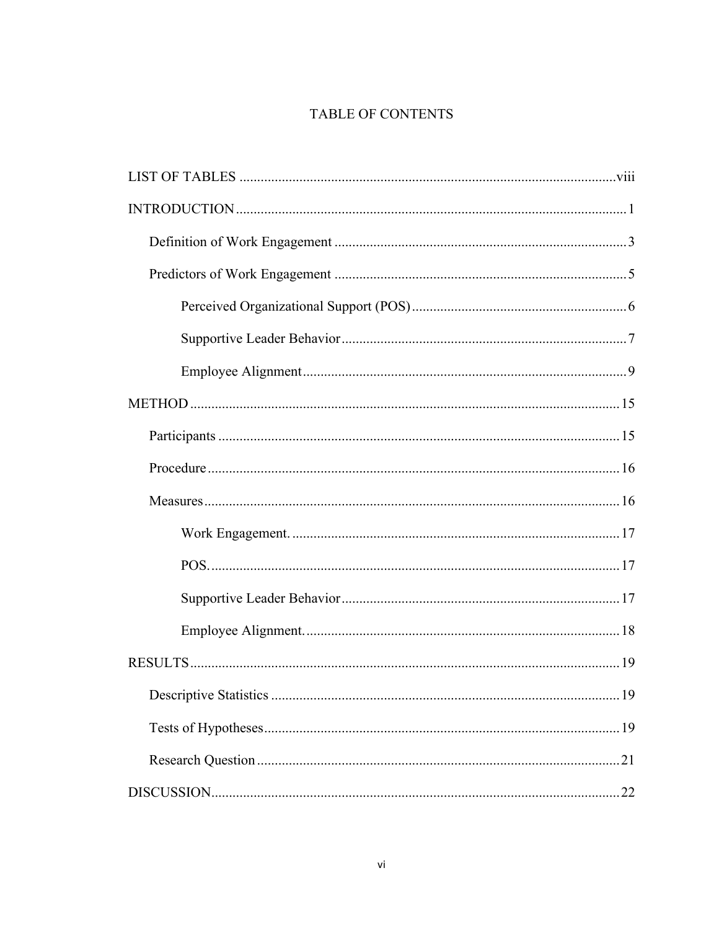# TABLE OF CONTENTS

| 19 |
|----|
|    |
|    |
|    |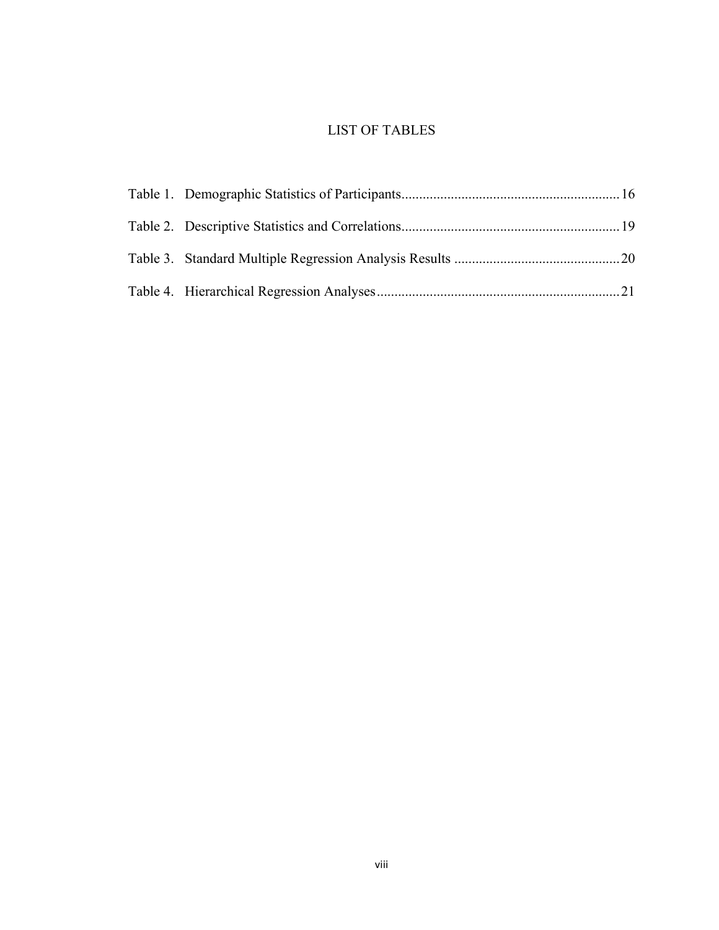# LIST OF TABLES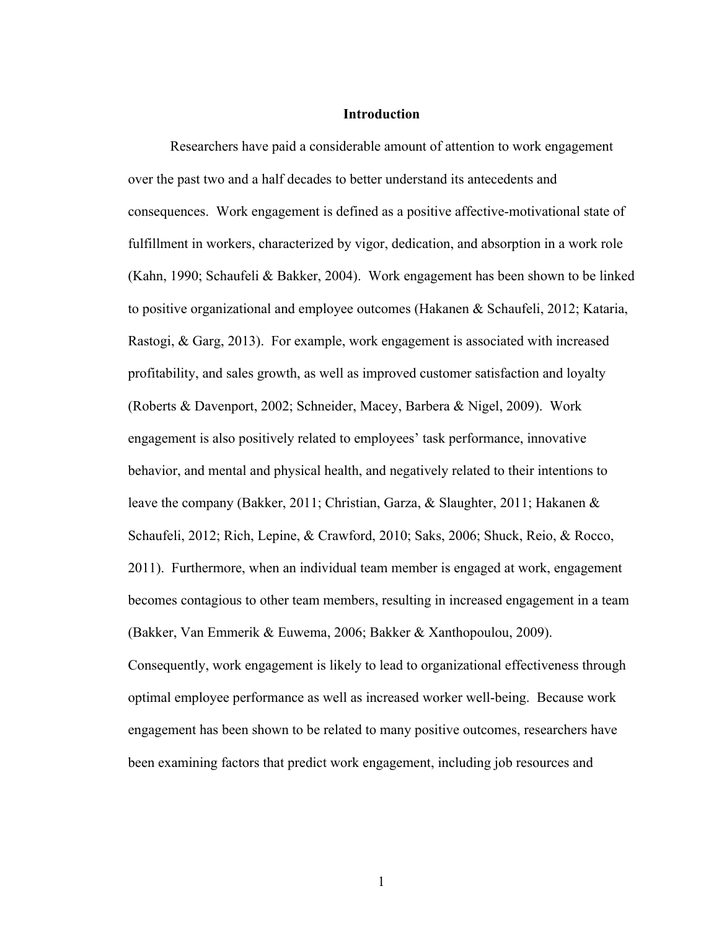#### **Introduction**

Researchers have paid a considerable amount of attention to work engagement over the past two and a half decades to better understand its antecedents and consequences. Work engagement is defined as a positive affective-motivational state of fulfillment in workers, characterized by vigor, dedication, and absorption in a work role (Kahn, 1990; Schaufeli & Bakker, 2004). Work engagement has been shown to be linked to positive organizational and employee outcomes (Hakanen & Schaufeli, 2012; Kataria, Rastogi, & Garg, 2013). For example, work engagement is associated with increased profitability, and sales growth, as well as improved customer satisfaction and loyalty (Roberts & Davenport, 2002; Schneider, Macey, Barbera & Nigel, 2009). Work engagement is also positively related to employees' task performance, innovative behavior, and mental and physical health, and negatively related to their intentions to leave the company (Bakker, 2011; Christian, Garza, & Slaughter, 2011; Hakanen & Schaufeli, 2012; Rich, Lepine, & Crawford, 2010; Saks, 2006; Shuck, Reio, & Rocco, 2011). Furthermore, when an individual team member is engaged at work, engagement becomes contagious to other team members, resulting in increased engagement in a team (Bakker, Van Emmerik & Euwema, 2006; Bakker & Xanthopoulou, 2009). Consequently, work engagement is likely to lead to organizational effectiveness through optimal employee performance as well as increased worker well-being. Because work engagement has been shown to be related to many positive outcomes, researchers have been examining factors that predict work engagement, including job resources and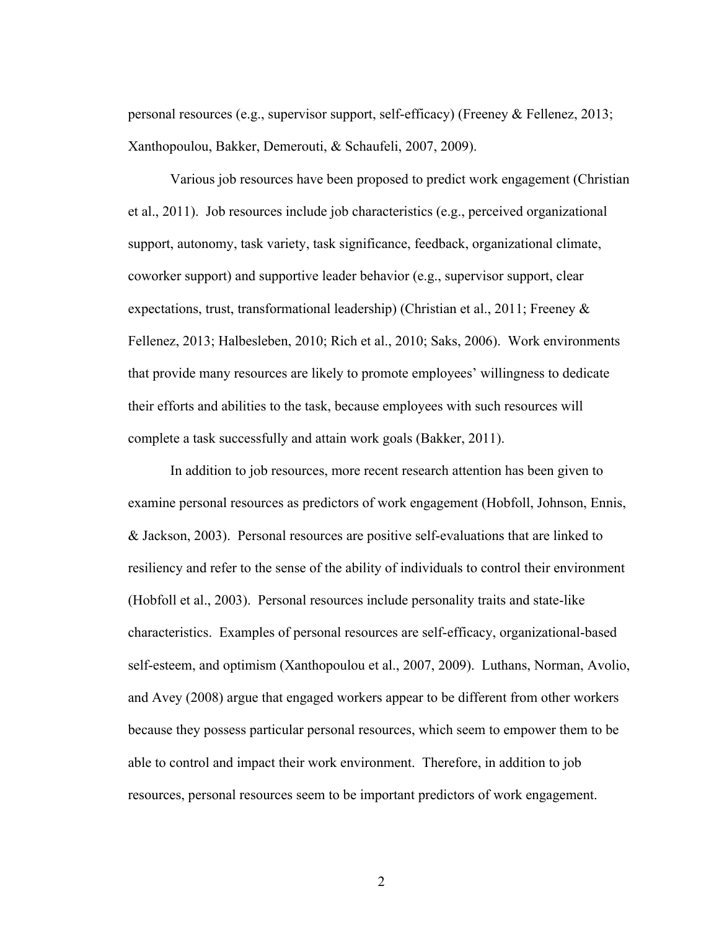personal resources (e.g., supervisor support, self-efficacy) (Freeney & Fellenez, 2013; Xanthopoulou, Bakker, Demerouti, & Schaufeli, 2007, 2009).

Various job resources have been proposed to predict work engagement (Christian et al., 2011). Job resources include job characteristics (e.g., perceived organizational support, autonomy, task variety, task significance, feedback, organizational climate, coworker support) and supportive leader behavior (e.g., supervisor support, clear expectations, trust, transformational leadership) (Christian et al., 2011; Freeney  $\&$ Fellenez, 2013; Halbesleben, 2010; Rich et al., 2010; Saks, 2006). Work environments that provide many resources are likely to promote employees' willingness to dedicate their efforts and abilities to the task, because employees with such resources will complete a task successfully and attain work goals (Bakker, 2011).

In addition to job resources, more recent research attention has been given to examine personal resources as predictors of work engagement (Hobfoll, Johnson, Ennis, & Jackson, 2003). Personal resources are positive self-evaluations that are linked to resiliency and refer to the sense of the ability of individuals to control their environment (Hobfoll et al., 2003). Personal resources include personality traits and state-like characteristics. Examples of personal resources are self-efficacy, organizational-based self-esteem, and optimism (Xanthopoulou et al., 2007, 2009). Luthans, Norman, Avolio, and Avey (2008) argue that engaged workers appear to be different from other workers because they possess particular personal resources, which seem to empower them to be able to control and impact their work environment. Therefore, in addition to job resources, personal resources seem to be important predictors of work engagement.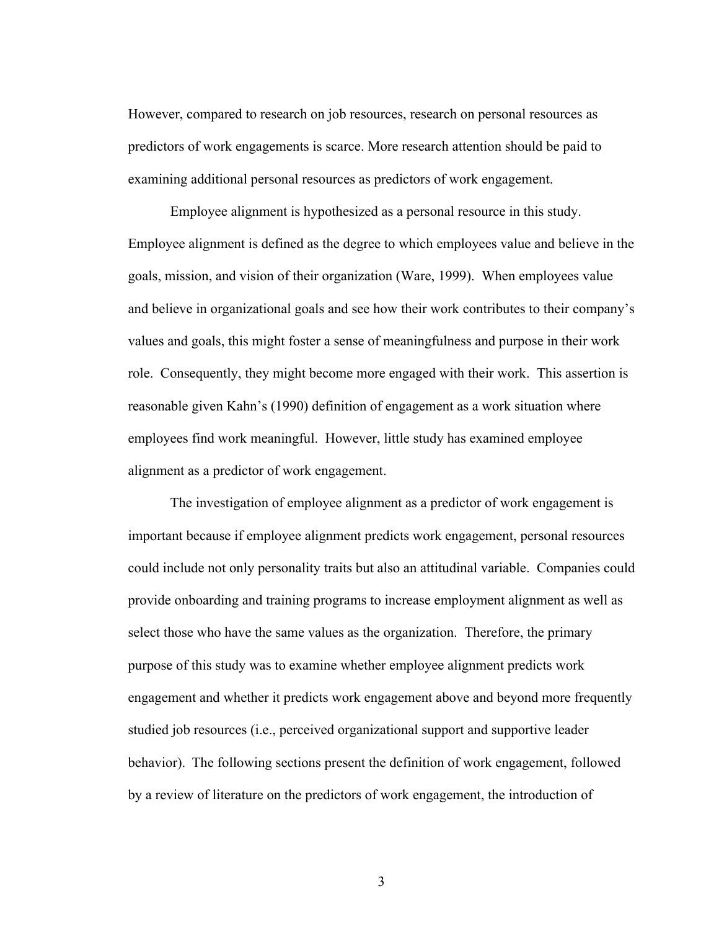However, compared to research on job resources, research on personal resources as predictors of work engagements is scarce. More research attention should be paid to examining additional personal resources as predictors of work engagement.

Employee alignment is hypothesized as a personal resource in this study. Employee alignment is defined as the degree to which employees value and believe in the goals, mission, and vision of their organization (Ware, 1999). When employees value and believe in organizational goals and see how their work contributes to their company's values and goals, this might foster a sense of meaningfulness and purpose in their work role. Consequently, they might become more engaged with their work. This assertion is reasonable given Kahn's (1990) definition of engagement as a work situation where employees find work meaningful. However, little study has examined employee alignment as a predictor of work engagement.

The investigation of employee alignment as a predictor of work engagement is important because if employee alignment predicts work engagement, personal resources could include not only personality traits but also an attitudinal variable. Companies could provide onboarding and training programs to increase employment alignment as well as select those who have the same values as the organization. Therefore, the primary purpose of this study was to examine whether employee alignment predicts work engagement and whether it predicts work engagement above and beyond more frequently studied job resources (i.e., perceived organizational support and supportive leader behavior). The following sections present the definition of work engagement, followed by a review of literature on the predictors of work engagement, the introduction of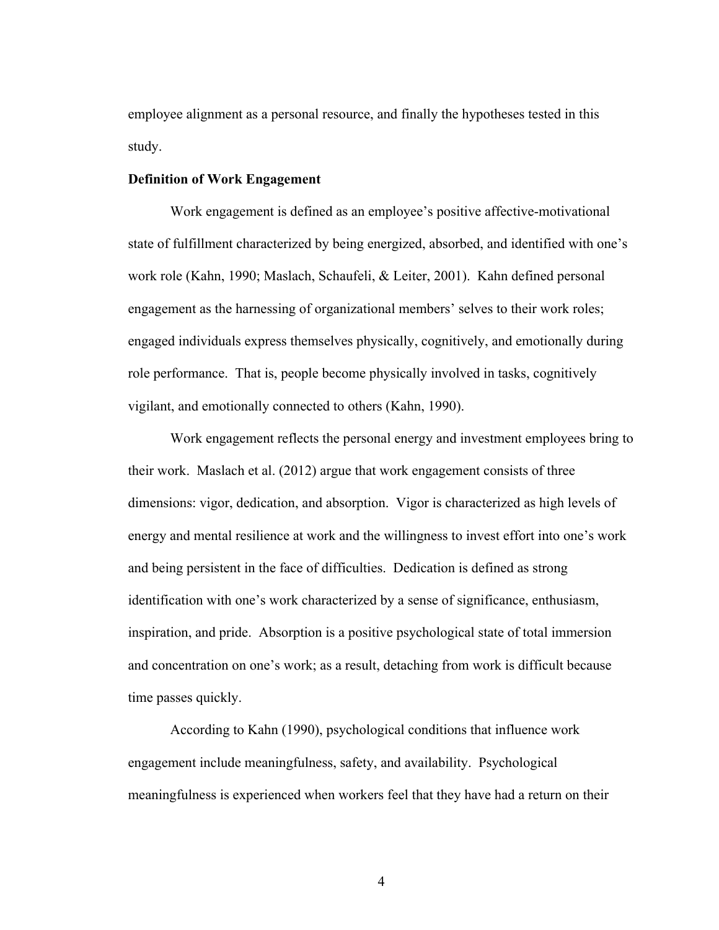employee alignment as a personal resource, and finally the hypotheses tested in this study.

#### **Definition of Work Engagement**

Work engagement is defined as an employee's positive affective-motivational state of fulfillment characterized by being energized, absorbed, and identified with one's work role (Kahn, 1990; Maslach, Schaufeli, & Leiter, 2001). Kahn defined personal engagement as the harnessing of organizational members' selves to their work roles; engaged individuals express themselves physically, cognitively, and emotionally during role performance. That is, people become physically involved in tasks, cognitively vigilant, and emotionally connected to others (Kahn, 1990).

Work engagement reflects the personal energy and investment employees bring to their work. Maslach et al. (2012) argue that work engagement consists of three dimensions: vigor, dedication, and absorption. Vigor is characterized as high levels of energy and mental resilience at work and the willingness to invest effort into one's work and being persistent in the face of difficulties. Dedication is defined as strong identification with one's work characterized by a sense of significance, enthusiasm, inspiration, and pride. Absorption is a positive psychological state of total immersion and concentration on one's work; as a result, detaching from work is difficult because time passes quickly.

According to Kahn (1990), psychological conditions that influence work engagement include meaningfulness, safety, and availability. Psychological meaningfulness is experienced when workers feel that they have had a return on their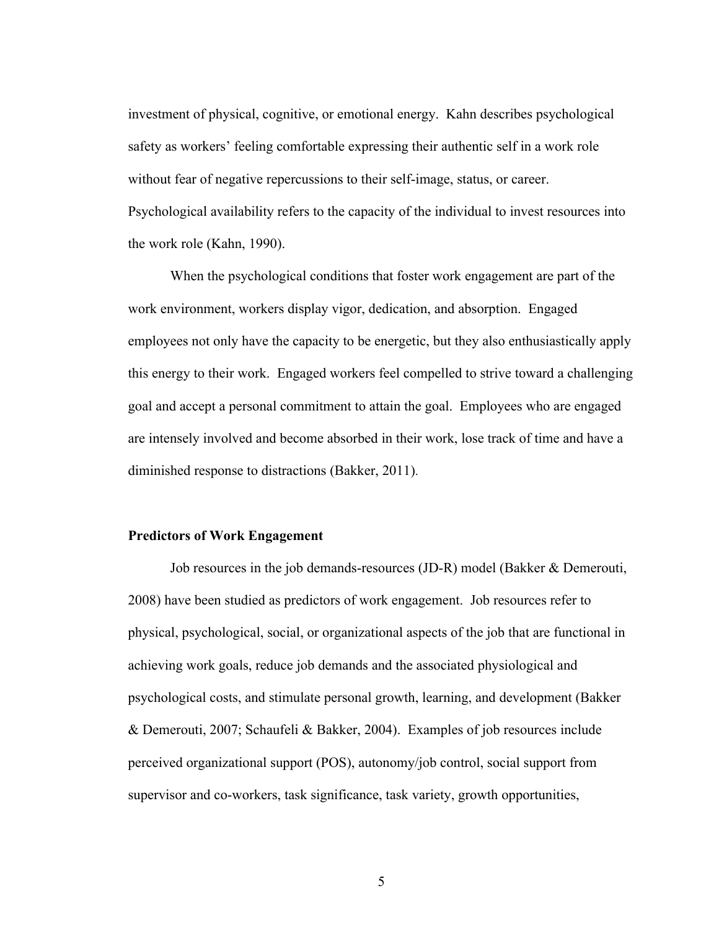investment of physical, cognitive, or emotional energy. Kahn describes psychological safety as workers' feeling comfortable expressing their authentic self in a work role without fear of negative repercussions to their self-image, status, or career. Psychological availability refers to the capacity of the individual to invest resources into the work role (Kahn, 1990).

When the psychological conditions that foster work engagement are part of the work environment, workers display vigor, dedication, and absorption. Engaged employees not only have the capacity to be energetic, but they also enthusiastically apply this energy to their work. Engaged workers feel compelled to strive toward a challenging goal and accept a personal commitment to attain the goal. Employees who are engaged are intensely involved and become absorbed in their work, lose track of time and have a diminished response to distractions (Bakker, 2011).

# **Predictors of Work Engagement**

Job resources in the job demands-resources (JD-R) model (Bakker & Demerouti, 2008) have been studied as predictors of work engagement. Job resources refer to physical, psychological, social, or organizational aspects of the job that are functional in achieving work goals, reduce job demands and the associated physiological and psychological costs, and stimulate personal growth, learning, and development (Bakker & Demerouti, 2007; Schaufeli & Bakker, 2004). Examples of job resources include perceived organizational support (POS), autonomy/job control, social support from supervisor and co-workers, task significance, task variety, growth opportunities,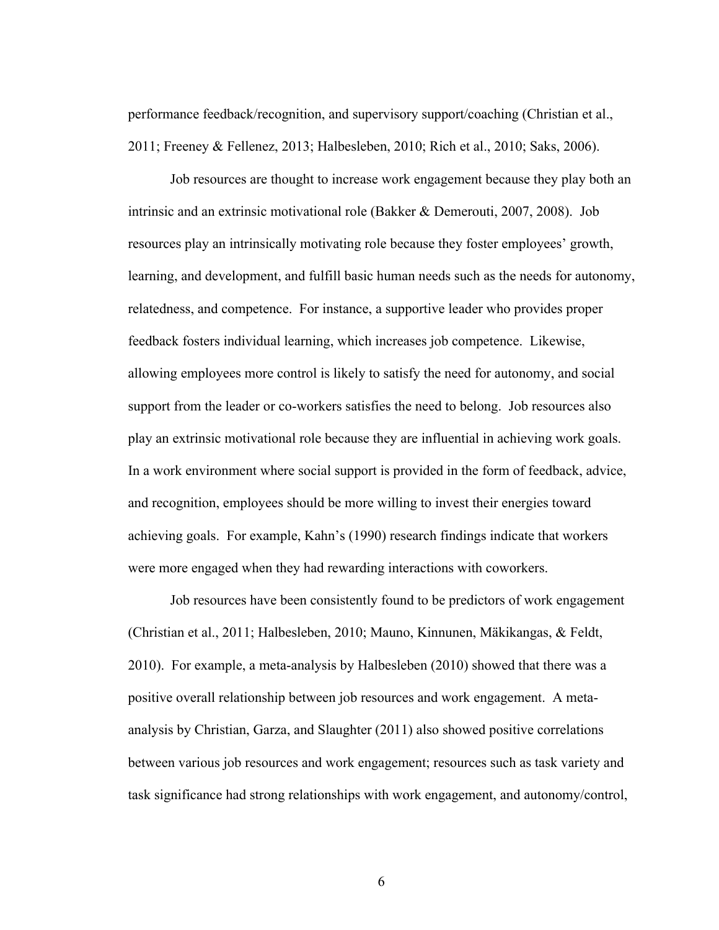performance feedback/recognition, and supervisory support/coaching (Christian et al., 2011; Freeney & Fellenez, 2013; Halbesleben, 2010; Rich et al., 2010; Saks, 2006).

Job resources are thought to increase work engagement because they play both an intrinsic and an extrinsic motivational role (Bakker & Demerouti, 2007, 2008). Job resources play an intrinsically motivating role because they foster employees' growth, learning, and development, and fulfill basic human needs such as the needs for autonomy, relatedness, and competence. For instance, a supportive leader who provides proper feedback fosters individual learning, which increases job competence. Likewise, allowing employees more control is likely to satisfy the need for autonomy, and social support from the leader or co-workers satisfies the need to belong. Job resources also play an extrinsic motivational role because they are influential in achieving work goals. In a work environment where social support is provided in the form of feedback, advice, and recognition, employees should be more willing to invest their energies toward achieving goals. For example, Kahn's (1990) research findings indicate that workers were more engaged when they had rewarding interactions with coworkers.

Job resources have been consistently found to be predictors of work engagement (Christian et al., 2011; Halbesleben, 2010; Mauno, Kinnunen, Mäkikangas, & Feldt, 2010). For example, a meta-analysis by Halbesleben (2010) showed that there was a positive overall relationship between job resources and work engagement. A metaanalysis by Christian, Garza, and Slaughter (2011) also showed positive correlations between various job resources and work engagement; resources such as task variety and task significance had strong relationships with work engagement, and autonomy/control,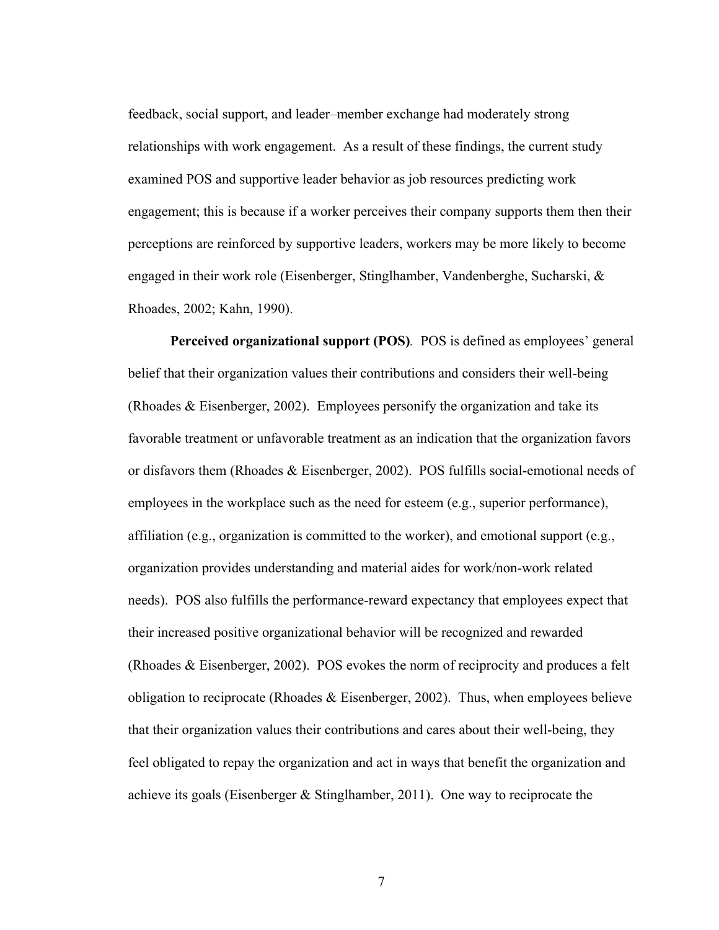feedback, social support, and leader–member exchange had moderately strong relationships with work engagement. As a result of these findings, the current study examined POS and supportive leader behavior as job resources predicting work engagement; this is because if a worker perceives their company supports them then their perceptions are reinforced by supportive leaders, workers may be more likely to become engaged in their work role (Eisenberger, Stinglhamber, Vandenberghe, Sucharski, & Rhoades, 2002; Kahn, 1990).

**Perceived organizational support (POS)***.* POS is defined as employees' general belief that their organization values their contributions and considers their well-being (Rhoades & Eisenberger, 2002). Employees personify the organization and take its favorable treatment or unfavorable treatment as an indication that the organization favors or disfavors them (Rhoades & Eisenberger, 2002). POS fulfills social-emotional needs of employees in the workplace such as the need for esteem (e.g., superior performance), affiliation (e.g., organization is committed to the worker), and emotional support (e.g., organization provides understanding and material aides for work/non-work related needs). POS also fulfills the performance-reward expectancy that employees expect that their increased positive organizational behavior will be recognized and rewarded (Rhoades & Eisenberger, 2002). POS evokes the norm of reciprocity and produces a felt obligation to reciprocate (Rhoades  $\&$  Eisenberger, 2002). Thus, when employees believe that their organization values their contributions and cares about their well-being, they feel obligated to repay the organization and act in ways that benefit the organization and achieve its goals (Eisenberger  $\&$  Stinglhamber, 2011). One way to reciprocate the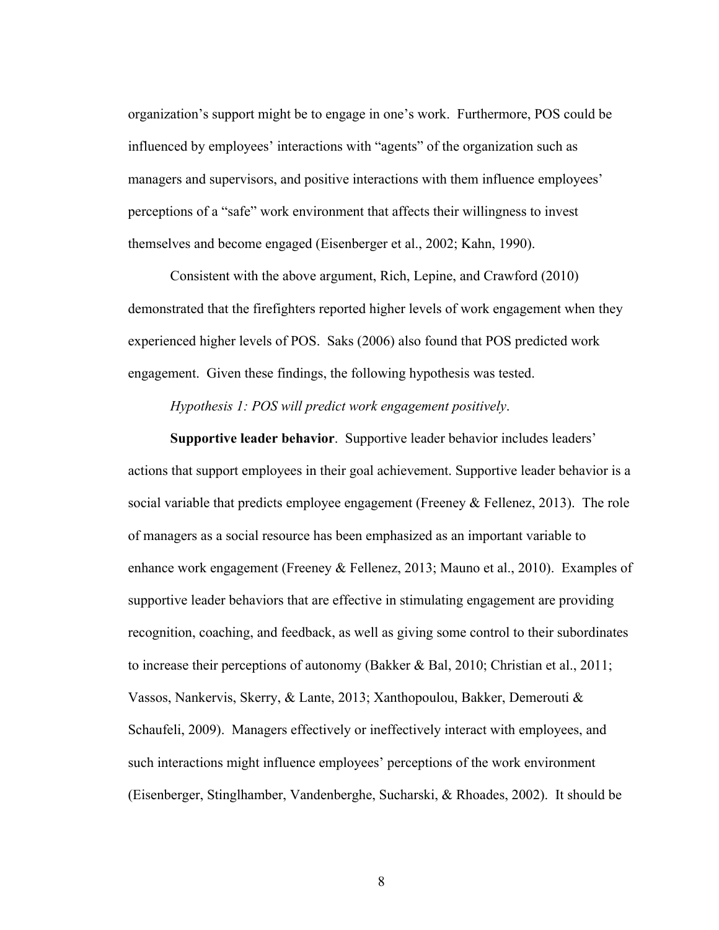organization's support might be to engage in one's work. Furthermore, POS could be influenced by employees' interactions with "agents" of the organization such as managers and supervisors, and positive interactions with them influence employees' perceptions of a "safe" work environment that affects their willingness to invest themselves and become engaged (Eisenberger et al., 2002; Kahn, 1990).

Consistent with the above argument, Rich, Lepine, and Crawford (2010) demonstrated that the firefighters reported higher levels of work engagement when they experienced higher levels of POS. Saks (2006) also found that POS predicted work engagement. Given these findings, the following hypothesis was tested.

*Hypothesis 1: POS will predict work engagement positively*.

**Supportive leader behavior**. Supportive leader behavior includes leaders' actions that support employees in their goal achievement. Supportive leader behavior is a social variable that predicts employee engagement (Freeney & Fellenez, 2013). The role of managers as a social resource has been emphasized as an important variable to enhance work engagement (Freeney & Fellenez, 2013; Mauno et al., 2010). Examples of supportive leader behaviors that are effective in stimulating engagement are providing recognition, coaching, and feedback, as well as giving some control to their subordinates to increase their perceptions of autonomy (Bakker & Bal, 2010; Christian et al., 2011; Vassos, Nankervis, Skerry, & Lante, 2013; Xanthopoulou, Bakker, Demerouti & Schaufeli, 2009). Managers effectively or ineffectively interact with employees, and such interactions might influence employees' perceptions of the work environment (Eisenberger, Stinglhamber, Vandenberghe, Sucharski, & Rhoades, 2002). It should be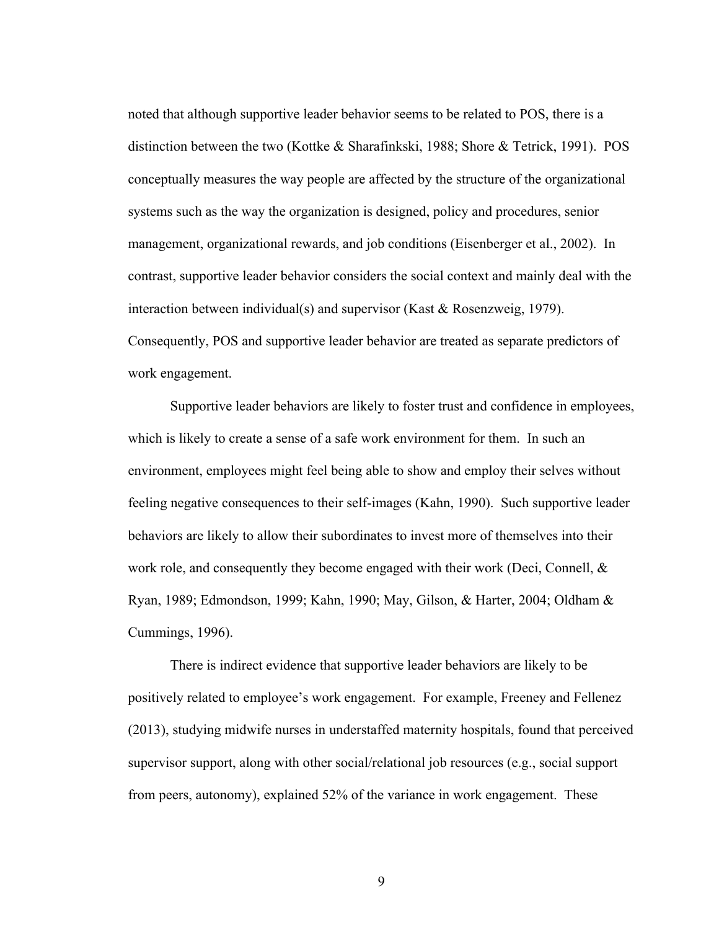noted that although supportive leader behavior seems to be related to POS, there is a distinction between the two (Kottke & Sharafinkski, 1988; Shore & Tetrick, 1991). POS conceptually measures the way people are affected by the structure of the organizational systems such as the way the organization is designed, policy and procedures, senior management, organizational rewards, and job conditions (Eisenberger et al., 2002). In contrast, supportive leader behavior considers the social context and mainly deal with the interaction between individual(s) and supervisor (Kast & Rosenzweig, 1979). Consequently, POS and supportive leader behavior are treated as separate predictors of work engagement.

Supportive leader behaviors are likely to foster trust and confidence in employees, which is likely to create a sense of a safe work environment for them. In such an environment, employees might feel being able to show and employ their selves without feeling negative consequences to their self-images (Kahn, 1990). Such supportive leader behaviors are likely to allow their subordinates to invest more of themselves into their work role, and consequently they become engaged with their work (Deci, Connell,  $\&$ Ryan, 1989; Edmondson, 1999; Kahn, 1990; May, Gilson, & Harter, 2004; Oldham & Cummings, 1996).

There is indirect evidence that supportive leader behaviors are likely to be positively related to employee's work engagement. For example, Freeney and Fellenez (2013), studying midwife nurses in understaffed maternity hospitals, found that perceived supervisor support, along with other social/relational job resources (e.g., social support from peers, autonomy), explained 52% of the variance in work engagement. These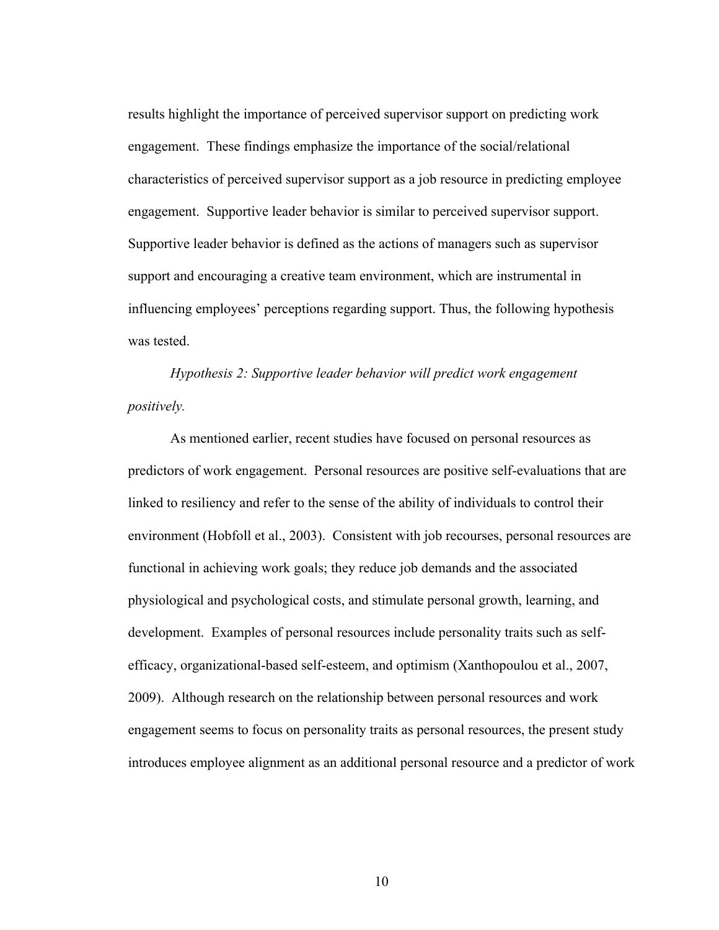results highlight the importance of perceived supervisor support on predicting work engagement. These findings emphasize the importance of the social/relational characteristics of perceived supervisor support as a job resource in predicting employee engagement. Supportive leader behavior is similar to perceived supervisor support. Supportive leader behavior is defined as the actions of managers such as supervisor support and encouraging a creative team environment, which are instrumental in influencing employees' perceptions regarding support. Thus, the following hypothesis was tested.

*Hypothesis 2: Supportive leader behavior will predict work engagement positively.*

As mentioned earlier, recent studies have focused on personal resources as predictors of work engagement. Personal resources are positive self-evaluations that are linked to resiliency and refer to the sense of the ability of individuals to control their environment (Hobfoll et al., 2003). Consistent with job recourses, personal resources are functional in achieving work goals; they reduce job demands and the associated physiological and psychological costs, and stimulate personal growth, learning, and development. Examples of personal resources include personality traits such as selfefficacy, organizational-based self-esteem, and optimism (Xanthopoulou et al., 2007, 2009). Although research on the relationship between personal resources and work engagement seems to focus on personality traits as personal resources, the present study introduces employee alignment as an additional personal resource and a predictor of work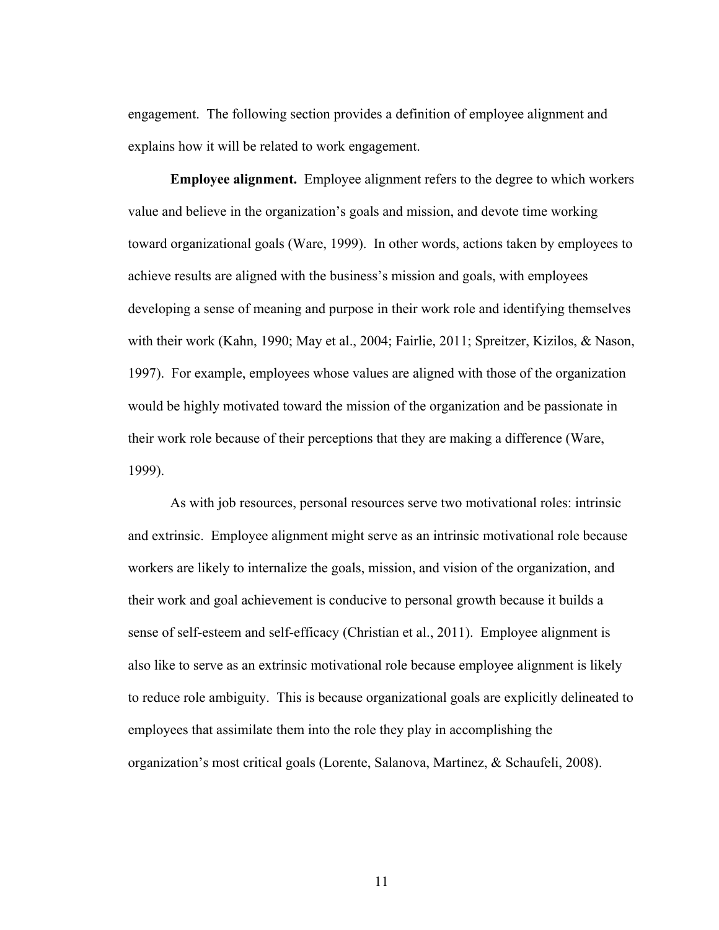engagement. The following section provides a definition of employee alignment and explains how it will be related to work engagement.

**Employee alignment.** Employee alignment refers to the degree to which workers value and believe in the organization's goals and mission, and devote time working toward organizational goals (Ware, 1999). In other words, actions taken by employees to achieve results are aligned with the business's mission and goals, with employees developing a sense of meaning and purpose in their work role and identifying themselves with their work (Kahn, 1990; May et al., 2004; Fairlie, 2011; Spreitzer, Kizilos, & Nason, 1997). For example, employees whose values are aligned with those of the organization would be highly motivated toward the mission of the organization and be passionate in their work role because of their perceptions that they are making a difference (Ware, 1999).

As with job resources, personal resources serve two motivational roles: intrinsic and extrinsic. Employee alignment might serve as an intrinsic motivational role because workers are likely to internalize the goals, mission, and vision of the organization, and their work and goal achievement is conducive to personal growth because it builds a sense of self-esteem and self-efficacy (Christian et al., 2011). Employee alignment is also like to serve as an extrinsic motivational role because employee alignment is likely to reduce role ambiguity. This is because organizational goals are explicitly delineated to employees that assimilate them into the role they play in accomplishing the organization's most critical goals (Lorente, Salanova, Martinez, & Schaufeli, 2008).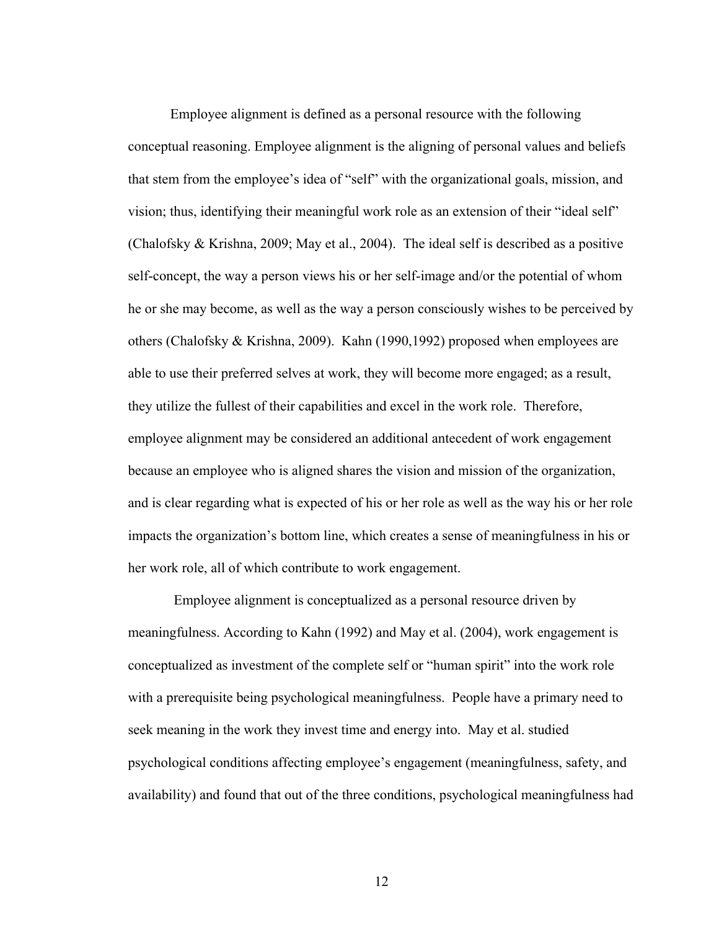Employee alignment is defined as a personal resource with the following conceptual reasoning. Employee alignment is the aligning of personal values and beliefs that stem from the employee's idea of "self" with the organizational goals, mission, and vision; thus, identifying their meaningful work role as an extension of their "ideal self" (Chalofsky & Krishna, 2009; May et al., 2004). The ideal self is described as a positive self-concept, the way a person views his or her self-image and/or the potential of whom he or she may become, as well as the way a person consciously wishes to be perceived by others (Chalofsky & Krishna, 2009). Kahn (1990,1992) proposed when employees are able to use their preferred selves at work, they will become more engaged; as a result, they utilize the fullest of their capabilities and excel in the work role. Therefore, employee alignment may be considered an additional antecedent of work engagement because an employee who is aligned shares the vision and mission of the organization, and is clear regarding what is expected of his or her role as well as the way his or her role impacts the organization's bottom line, which creates a sense of meaningfulness in his or her work role, all of which contribute to work engagement.

Employee alignment is conceptualized as a personal resource driven by meaningfulness. According to Kahn (1992) and May et al. (2004), work engagement is conceptualized as investment of the complete self or "human spirit" into the work role with a prerequisite being psychological meaningfulness. People have a primary need to seek meaning in the work they invest time and energy into. May et al. studied psychological conditions affecting employee's engagement (meaningfulness, safety, and availability) and found that out of the three conditions, psychological meaningfulness had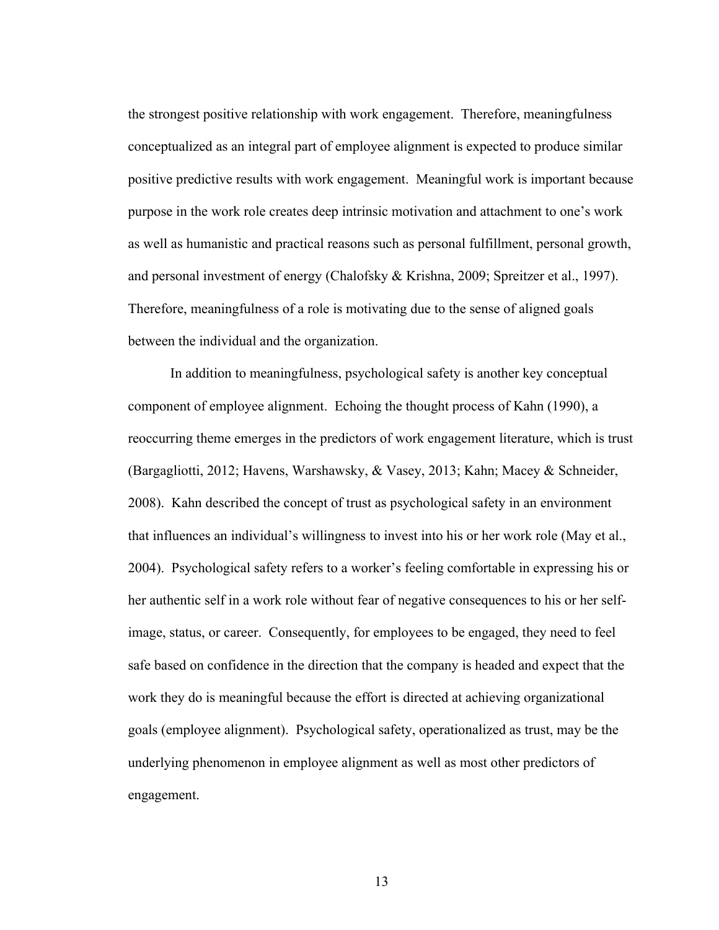the strongest positive relationship with work engagement. Therefore, meaningfulness conceptualized as an integral part of employee alignment is expected to produce similar positive predictive results with work engagement. Meaningful work is important because purpose in the work role creates deep intrinsic motivation and attachment to one's work as well as humanistic and practical reasons such as personal fulfillment, personal growth, and personal investment of energy (Chalofsky & Krishna, 2009; Spreitzer et al., 1997). Therefore, meaningfulness of a role is motivating due to the sense of aligned goals between the individual and the organization.

In addition to meaningfulness, psychological safety is another key conceptual component of employee alignment. Echoing the thought process of Kahn (1990), a reoccurring theme emerges in the predictors of work engagement literature, which is trust (Bargagliotti, 2012; Havens, Warshawsky, & Vasey, 2013; Kahn; Macey & Schneider, 2008). Kahn described the concept of trust as psychological safety in an environment that influences an individual's willingness to invest into his or her work role (May et al., 2004). Psychological safety refers to a worker's feeling comfortable in expressing his or her authentic self in a work role without fear of negative consequences to his or her selfimage, status, or career. Consequently, for employees to be engaged, they need to feel safe based on confidence in the direction that the company is headed and expect that the work they do is meaningful because the effort is directed at achieving organizational goals (employee alignment). Psychological safety, operationalized as trust, may be the underlying phenomenon in employee alignment as well as most other predictors of engagement.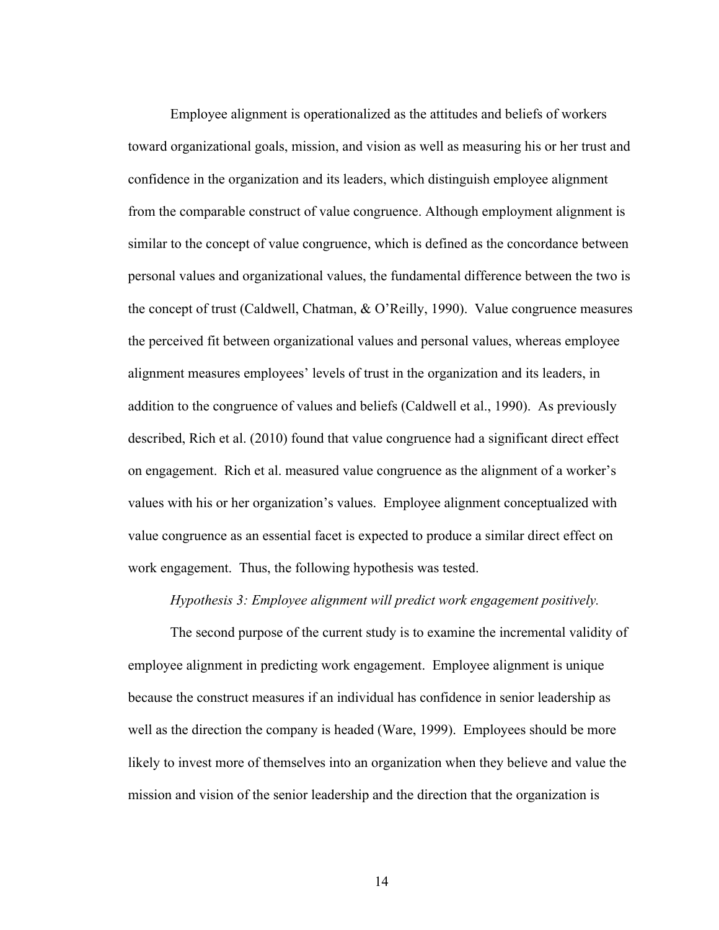Employee alignment is operationalized as the attitudes and beliefs of workers toward organizational goals, mission, and vision as well as measuring his or her trust and confidence in the organization and its leaders, which distinguish employee alignment from the comparable construct of value congruence. Although employment alignment is similar to the concept of value congruence, which is defined as the concordance between personal values and organizational values, the fundamental difference between the two is the concept of trust (Caldwell, Chatman, & O'Reilly, 1990). Value congruence measures the perceived fit between organizational values and personal values, whereas employee alignment measures employees' levels of trust in the organization and its leaders, in addition to the congruence of values and beliefs (Caldwell et al., 1990). As previously described, Rich et al. (2010) found that value congruence had a significant direct effect on engagement. Rich et al. measured value congruence as the alignment of a worker's values with his or her organization's values. Employee alignment conceptualized with value congruence as an essential facet is expected to produce a similar direct effect on work engagement. Thus, the following hypothesis was tested.

## *Hypothesis 3: Employee alignment will predict work engagement positively.*

The second purpose of the current study is to examine the incremental validity of employee alignment in predicting work engagement. Employee alignment is unique because the construct measures if an individual has confidence in senior leadership as well as the direction the company is headed (Ware, 1999). Employees should be more likely to invest more of themselves into an organization when they believe and value the mission and vision of the senior leadership and the direction that the organization is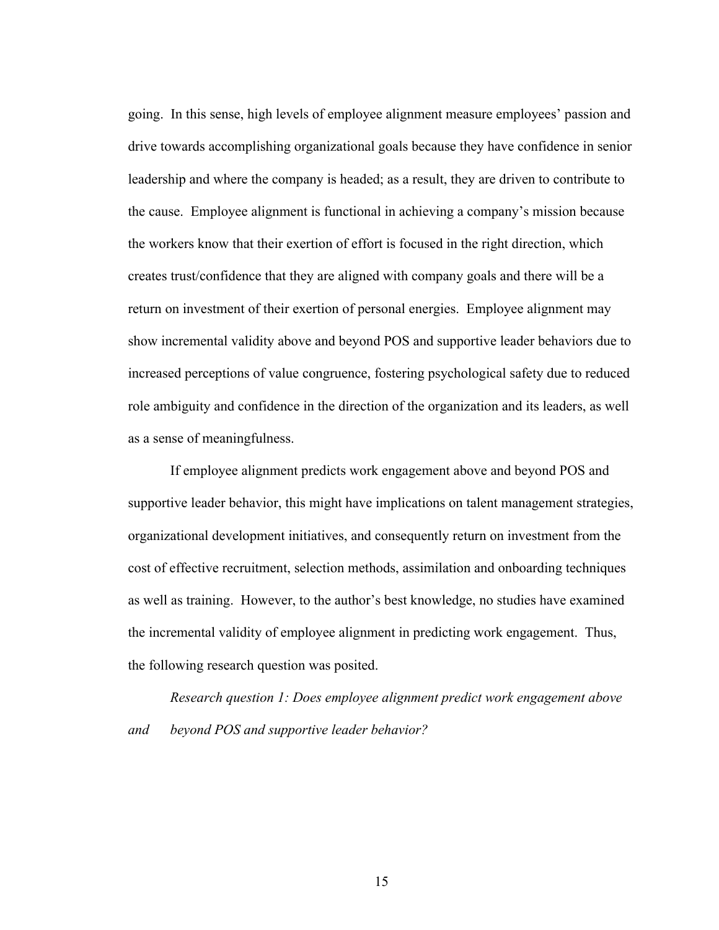going. In this sense, high levels of employee alignment measure employees' passion and drive towards accomplishing organizational goals because they have confidence in senior leadership and where the company is headed; as a result, they are driven to contribute to the cause. Employee alignment is functional in achieving a company's mission because the workers know that their exertion of effort is focused in the right direction, which creates trust/confidence that they are aligned with company goals and there will be a return on investment of their exertion of personal energies. Employee alignment may show incremental validity above and beyond POS and supportive leader behaviors due to increased perceptions of value congruence, fostering psychological safety due to reduced role ambiguity and confidence in the direction of the organization and its leaders, as well as a sense of meaningfulness.

If employee alignment predicts work engagement above and beyond POS and supportive leader behavior, this might have implications on talent management strategies, organizational development initiatives, and consequently return on investment from the cost of effective recruitment, selection methods, assimilation and onboarding techniques as well as training. However, to the author's best knowledge, no studies have examined the incremental validity of employee alignment in predicting work engagement. Thus, the following research question was posited.

*Research question 1: Does employee alignment predict work engagement above and beyond POS and supportive leader behavior?*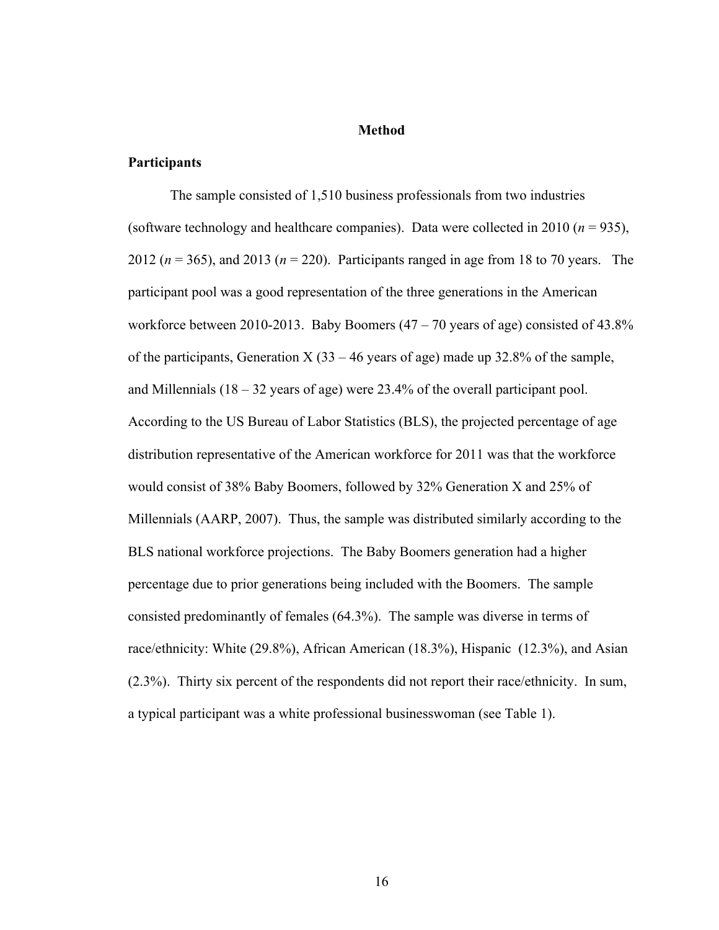# **Method**

## **Participants**

The sample consisted of 1,510 business professionals from two industries (software technology and healthcare companies). Data were collected in 2010 ( $n = 935$ ), 2012 (*n* = 365), and 2013 (*n* = 220). Participants ranged in age from 18 to 70 years. The participant pool was a good representation of the three generations in the American workforce between 2010-2013. Baby Boomers  $(47 – 70$  years of age) consisted of 43.8% of the participants, Generation X  $(33 - 46$  years of age) made up 32.8% of the sample, and Millennials  $(18 - 32 \text{ years of age})$  were 23.4% of the overall participant pool. According to the US Bureau of Labor Statistics (BLS), the projected percentage of age distribution representative of the American workforce for 2011 was that the workforce would consist of 38% Baby Boomers, followed by 32% Generation X and 25% of Millennials (AARP, 2007). Thus, the sample was distributed similarly according to the BLS national workforce projections. The Baby Boomers generation had a higher percentage due to prior generations being included with the Boomers. The sample consisted predominantly of females (64.3%). The sample was diverse in terms of race/ethnicity: White (29.8%), African American (18.3%), Hispanic (12.3%), and Asian (2.3%). Thirty six percent of the respondents did not report their race/ethnicity. In sum, a typical participant was a white professional businesswoman (see Table 1).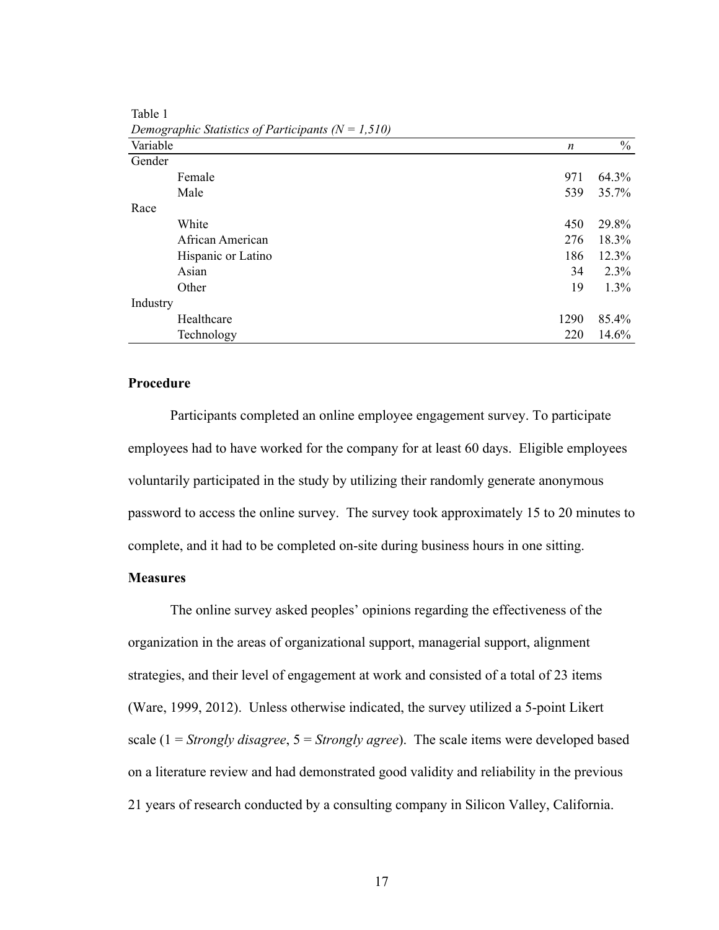|          | Demographic Statistics of Participants $(N = 1,310)$ |      |               |
|----------|------------------------------------------------------|------|---------------|
| Variable |                                                      | n    | $\frac{0}{0}$ |
| Gender   |                                                      |      |               |
|          | Female                                               | 971  | 64.3%         |
|          | Male                                                 | 539  | 35.7%         |
| Race     |                                                      |      |               |
|          | White                                                | 450  | 29.8%         |
|          | African American                                     | 276  | 18.3%         |
|          | Hispanic or Latino                                   | 186  | 12.3%         |
|          | Asian                                                | 34   | 2.3%          |
|          | Other                                                | 19   | 1.3%          |
| Industry |                                                      |      |               |
|          | Healthcare                                           | 1290 | 85.4%         |
|          | Technology                                           | 220  | 14.6%         |

Table 1  $\overline{D}$   $\overline{D}$   $\overline{D}$   $\overline{D}$   $\overline{D}$   $\overline{D}$   $\overline{D}$   $\overline{D}$   $\overline{D}$   $\overline{D}$   $\overline{D}$   $\overline{D}$   $\overline{D}$   $\overline{D}$   $\overline{D}$   $\overline{D}$   $\overline{D}$   $\overline{D}$   $\overline{D}$   $\overline{D}$   $\overline{D}$   $\overline{D}$   $\overline{D}$   $\overline{D}$   $\overline{$ 

# **Procedure**

Participants completed an online employee engagement survey. To participate employees had to have worked for the company for at least 60 days. Eligible employees voluntarily participated in the study by utilizing their randomly generate anonymous password to access the online survey. The survey took approximately 15 to 20 minutes to complete, and it had to be completed on-site during business hours in one sitting.

# **Measures**

The online survey asked peoples' opinions regarding the effectiveness of the organization in the areas of organizational support, managerial support, alignment strategies, and their level of engagement at work and consisted of a total of 23 items (Ware, 1999, 2012). Unless otherwise indicated, the survey utilized a 5-point Likert scale (1 = *Strongly disagree*, 5 = *Strongly agree*). The scale items were developed based on a literature review and had demonstrated good validity and reliability in the previous 21 years of research conducted by a consulting company in Silicon Valley, California.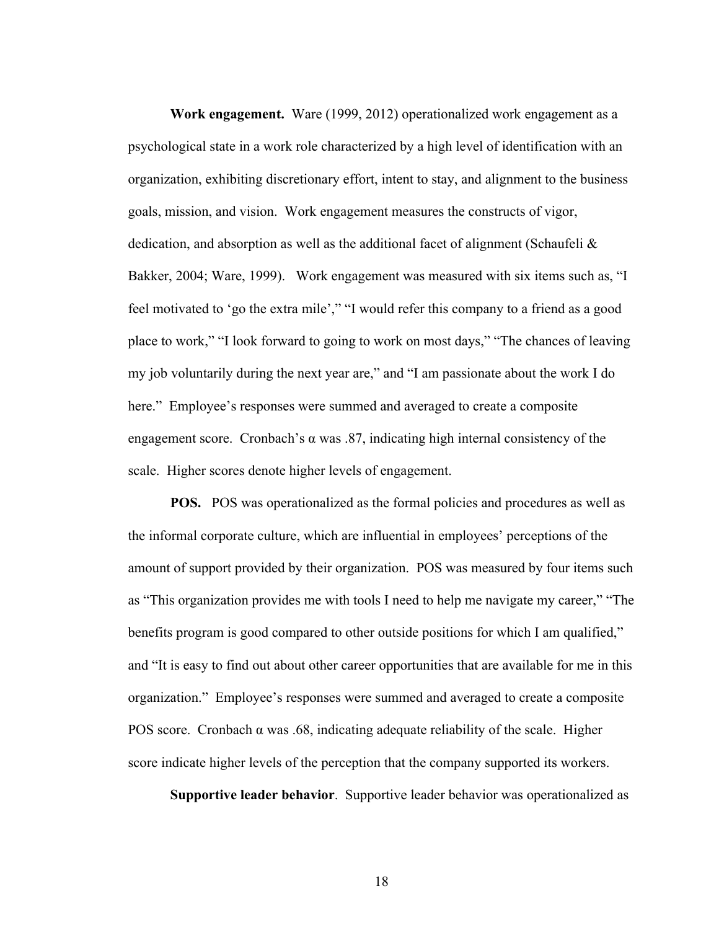**Work engagement.** Ware (1999, 2012) operationalized work engagement as a psychological state in a work role characterized by a high level of identification with an organization, exhibiting discretionary effort, intent to stay, and alignment to the business goals, mission, and vision. Work engagement measures the constructs of vigor, dedication, and absorption as well as the additional facet of alignment (Schaufeli  $\&$ Bakker, 2004; Ware, 1999). Work engagement was measured with six items such as, "I feel motivated to 'go the extra mile'," "I would refer this company to a friend as a good place to work," "I look forward to going to work on most days," "The chances of leaving my job voluntarily during the next year are," and "I am passionate about the work I do here." Employee's responses were summed and averaged to create a composite engagement score. Cronbach's  $\alpha$  was .87, indicating high internal consistency of the scale. Higher scores denote higher levels of engagement.

**POS.** POS was operationalized as the formal policies and procedures as well as the informal corporate culture, which are influential in employees' perceptions of the amount of support provided by their organization. POS was measured by four items such as "This organization provides me with tools I need to help me navigate my career," "The benefits program is good compared to other outside positions for which I am qualified," and "It is easy to find out about other career opportunities that are available for me in this organization." Employee's responses were summed and averaged to create a composite POS score. Cronbach  $\alpha$  was .68, indicating adequate reliability of the scale. Higher score indicate higher levels of the perception that the company supported its workers.

**Supportive leader behavior**. Supportive leader behavior was operationalized as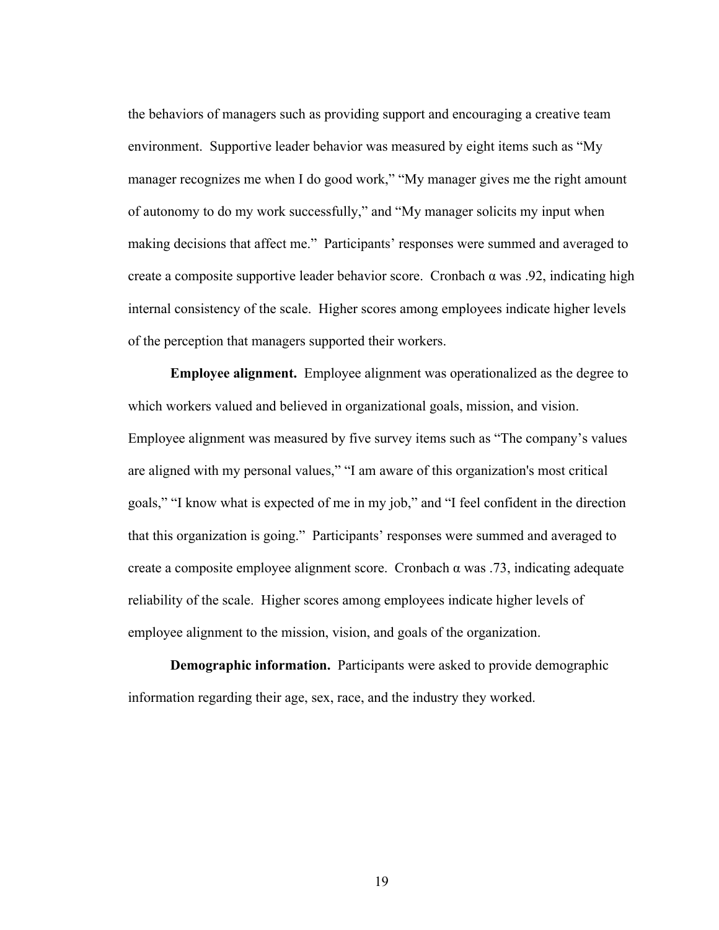the behaviors of managers such as providing support and encouraging a creative team environment. Supportive leader behavior was measured by eight items such as "My manager recognizes me when I do good work," "My manager gives me the right amount of autonomy to do my work successfully," and "My manager solicits my input when making decisions that affect me." Participants' responses were summed and averaged to create a composite supportive leader behavior score. Cronbach  $\alpha$  was .92, indicating high internal consistency of the scale. Higher scores among employees indicate higher levels of the perception that managers supported their workers.

**Employee alignment.** Employee alignment was operationalized as the degree to which workers valued and believed in organizational goals, mission, and vision. Employee alignment was measured by five survey items such as "The company's values are aligned with my personal values," "I am aware of this organization's most critical goals," "I know what is expected of me in my job," and "I feel confident in the direction that this organization is going." Participants' responses were summed and averaged to create a composite employee alignment score. Cronbach α was .73, indicating adequate reliability of the scale. Higher scores among employees indicate higher levels of employee alignment to the mission, vision, and goals of the organization.

**Demographic information.** Participants were asked to provide demographic information regarding their age, sex, race, and the industry they worked.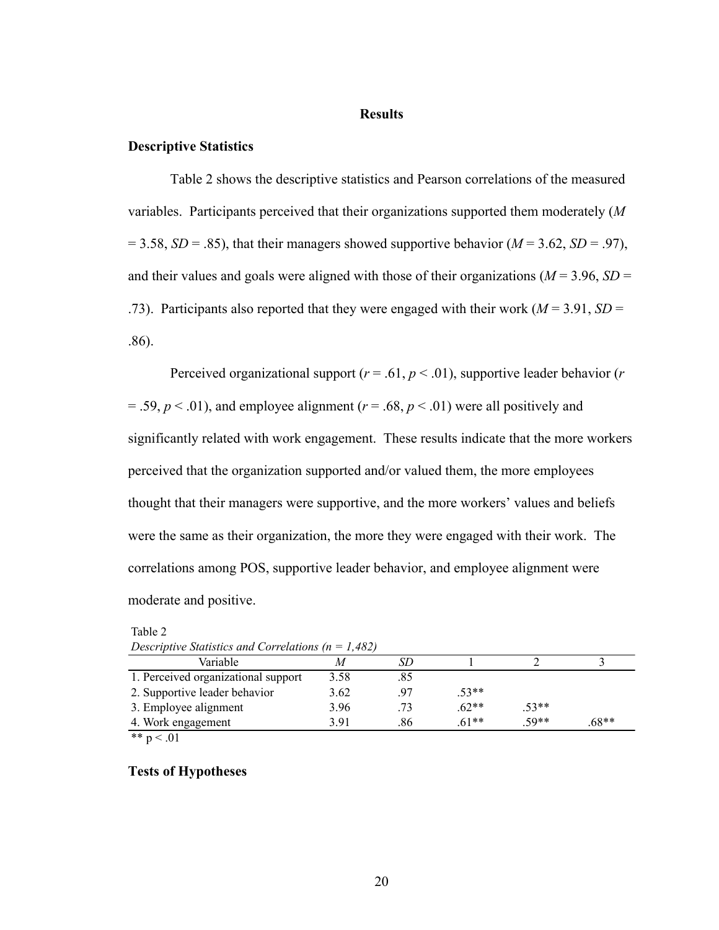#### **Results**

#### **Descriptive Statistics**

Table 2 shows the descriptive statistics and Pearson correlations of the measured variables. Participants perceived that their organizations supported them moderately (*M*   $= 3.58$ , *SD* = .85), that their managers showed supportive behavior (*M* = 3.62, *SD* = .97), and their values and goals were aligned with those of their organizations ( $M = 3.96$ ,  $SD =$ .73). Participants also reported that they were engaged with their work (*M* = 3.91, *SD* = .86).

Perceived organizational support ( $r = .61$ ,  $p < .01$ ), supportive leader behavior ( $r$ )  $= .59, p < .01$ ), and employee alignment ( $r = .68, p < .01$ ) were all positively and significantly related with work engagement. These results indicate that the more workers perceived that the organization supported and/or valued them, the more employees thought that their managers were supportive, and the more workers' values and beliefs were the same as their organization, the more they were engaged with their work. The correlations among POS, supportive leader behavior, and employee alignment were moderate and positive.

| Descriptive Statistics and Correlations ( $n = 1,482$ ) |      |     |         |         |         |  |
|---------------------------------------------------------|------|-----|---------|---------|---------|--|
| Variable                                                |      |     |         |         |         |  |
| 1. Perceived organizational support                     | 3.58 | .85 |         |         |         |  |
| 2. Supportive leader behavior                           | 3.62 | 97  | $.53**$ |         |         |  |
| 3. Employee alignment                                   | 3.96 | 73  | $.62**$ | $.53**$ |         |  |
| 4. Work engagement                                      | 3 91 | .86 | $61**$  | $50**$  | $.68**$ |  |

Table 2 *Descriptive Statistics and Correlations (n = 1,482)*

\*\*  $p < .01$ 

**Tests of Hypotheses**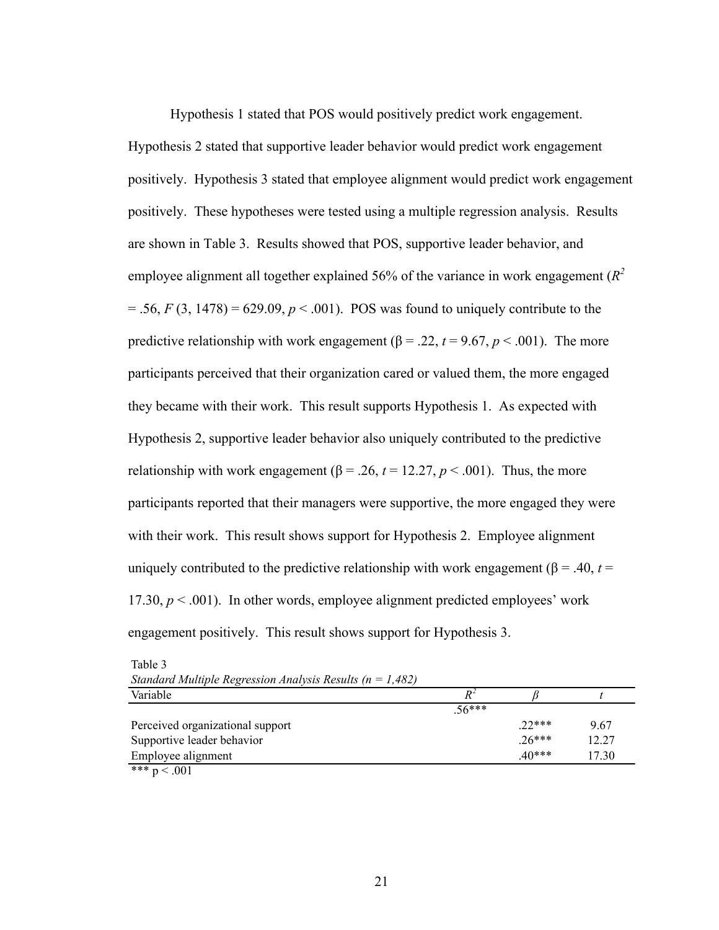Hypothesis 1 stated that POS would positively predict work engagement. Hypothesis 2 stated that supportive leader behavior would predict work engagement positively. Hypothesis 3 stated that employee alignment would predict work engagement positively. These hypotheses were tested using a multiple regression analysis. Results are shown in Table 3. Results showed that POS, supportive leader behavior, and employee alignment all together explained 56% of the variance in work engagement (*R2*  $= .56, F(3, 1478) = 629.09, p < .001$ . POS was found to uniquely contribute to the predictive relationship with work engagement ( $\beta$  = .22,  $t$  = 9.67,  $p$  < .001). The more participants perceived that their organization cared or valued them, the more engaged they became with their work. This result supports Hypothesis 1. As expected with Hypothesis 2, supportive leader behavior also uniquely contributed to the predictive relationship with work engagement ( $\beta$  = .26,  $t$  = 12.27,  $p$  < .001). Thus, the more participants reported that their managers were supportive, the more engaged they were with their work. This result shows support for Hypothesis 2. Employee alignment uniquely contributed to the predictive relationship with work engagement ( $\beta$  = .40, *t* = 17.30,  $p < .001$ ). In other words, employee alignment predicted employees' work engagement positively. This result shows support for Hypothesis 3.

| Sumaara muupic Regression Amarysis Results (n<br>1,702/ |         |          |       |
|---------------------------------------------------------|---------|----------|-------|
| Variable                                                | $R^2$   |          |       |
|                                                         | $56***$ |          |       |
| Perceived organizational support                        |         | $.22***$ | 9.67  |
| Supportive leader behavior                              |         | $.26***$ | 12.27 |
| Employee alignment                                      |         | $40***$  | 17.30 |
| *** $p < .001$                                          |         |          |       |

| Table 3                                                       |  |
|---------------------------------------------------------------|--|
| Standard Multiple Regression Analysis Results ( $n = 1,482$ ) |  |
|                                                               |  |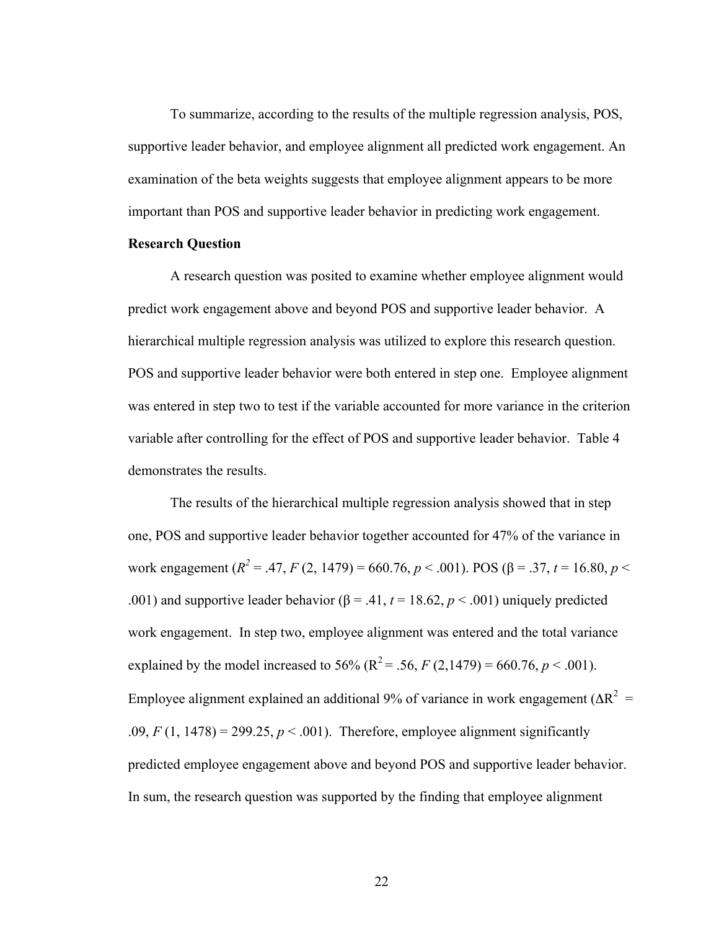To summarize, according to the results of the multiple regression analysis, POS, supportive leader behavior, and employee alignment all predicted work engagement. An examination of the beta weights suggests that employee alignment appears to be more important than POS and supportive leader behavior in predicting work engagement.

## **Research Question**

A research question was posited to examine whether employee alignment would predict work engagement above and beyond POS and supportive leader behavior. A hierarchical multiple regression analysis was utilized to explore this research question. POS and supportive leader behavior were both entered in step one. Employee alignment was entered in step two to test if the variable accounted for more variance in the criterion variable after controlling for the effect of POS and supportive leader behavior. Table 4 demonstrates the results.

The results of the hierarchical multiple regression analysis showed that in step one, POS and supportive leader behavior together accounted for 47% of the variance in work engagement ( $R^2$  = .47,  $F$  (2, 1479) = 660.76,  $p$  < .001). POS ( $β$  = .37,  $t$  = 16.80,  $p$  < .001) and supportive leader behavior ( $\beta$  = .41,  $t$  = 18.62,  $p$  < .001) uniquely predicted work engagement. In step two, employee alignment was entered and the total variance explained by the model increased to 56% ( $R^2 = .56$ ,  $F (2,1479) = 660.76, p < .001$ ). Employee alignment explained an additional 9% of variance in work engagement ( $\Delta R^2$  =  $.09, F(1, 1478) = 299.25, p < .001$ . Therefore, employee alignment significantly predicted employee engagement above and beyond POS and supportive leader behavior. In sum, the research question was supported by the finding that employee alignment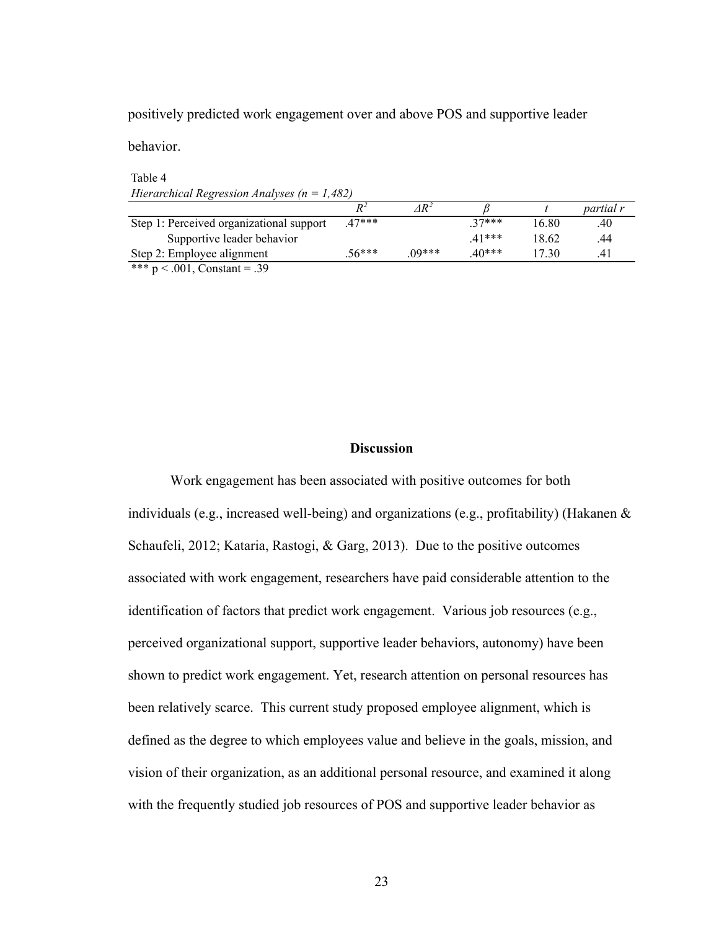positively predicted work engagement over and above POS and supportive leader

behavior.

Table 4 *Hierarchical Regression Analyses (n = 1,482)*

|                                                                                    | $P^2$   | $AR^2$  |         |       | partial r |
|------------------------------------------------------------------------------------|---------|---------|---------|-------|-----------|
| Step 1: Perceived organizational support                                           | $47***$ |         | $27***$ | 16 80 | .40       |
| Supportive leader behavior                                                         |         |         | $41***$ | 18 62 | .44       |
| Step 2: Employee alignment                                                         | $56***$ | $00***$ | 40***   | I 730 | 4.        |
| $-10 - 10 - 10 - 10$<br>$\sim$ $\sim$ $\sim$<br>$\sim$ $\sim$ $\sim$ $\sim$ $\sim$ |         |         |         |       |           |

\*\*\*  $p < .001$ , Constant = .39

## **Discussion**

Work engagement has been associated with positive outcomes for both individuals (e.g., increased well-being) and organizations (e.g., profitability) (Hakanen & Schaufeli, 2012; Kataria, Rastogi, & Garg, 2013). Due to the positive outcomes associated with work engagement, researchers have paid considerable attention to the identification of factors that predict work engagement. Various job resources (e.g., perceived organizational support, supportive leader behaviors, autonomy) have been shown to predict work engagement. Yet, research attention on personal resources has been relatively scarce. This current study proposed employee alignment, which is defined as the degree to which employees value and believe in the goals, mission, and vision of their organization, as an additional personal resource, and examined it along with the frequently studied job resources of POS and supportive leader behavior as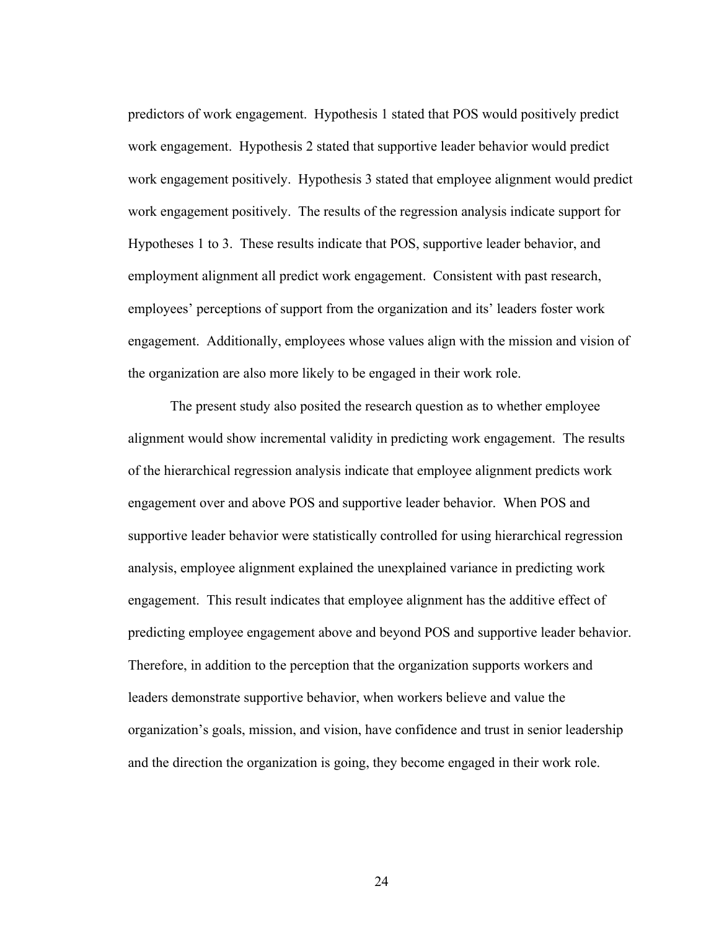predictors of work engagement. Hypothesis 1 stated that POS would positively predict work engagement. Hypothesis 2 stated that supportive leader behavior would predict work engagement positively. Hypothesis 3 stated that employee alignment would predict work engagement positively. The results of the regression analysis indicate support for Hypotheses 1 to 3. These results indicate that POS, supportive leader behavior, and employment alignment all predict work engagement. Consistent with past research, employees' perceptions of support from the organization and its' leaders foster work engagement. Additionally, employees whose values align with the mission and vision of the organization are also more likely to be engaged in their work role.

The present study also posited the research question as to whether employee alignment would show incremental validity in predicting work engagement. The results of the hierarchical regression analysis indicate that employee alignment predicts work engagement over and above POS and supportive leader behavior. When POS and supportive leader behavior were statistically controlled for using hierarchical regression analysis, employee alignment explained the unexplained variance in predicting work engagement. This result indicates that employee alignment has the additive effect of predicting employee engagement above and beyond POS and supportive leader behavior. Therefore, in addition to the perception that the organization supports workers and leaders demonstrate supportive behavior, when workers believe and value the organization's goals, mission, and vision, have confidence and trust in senior leadership and the direction the organization is going, they become engaged in their work role.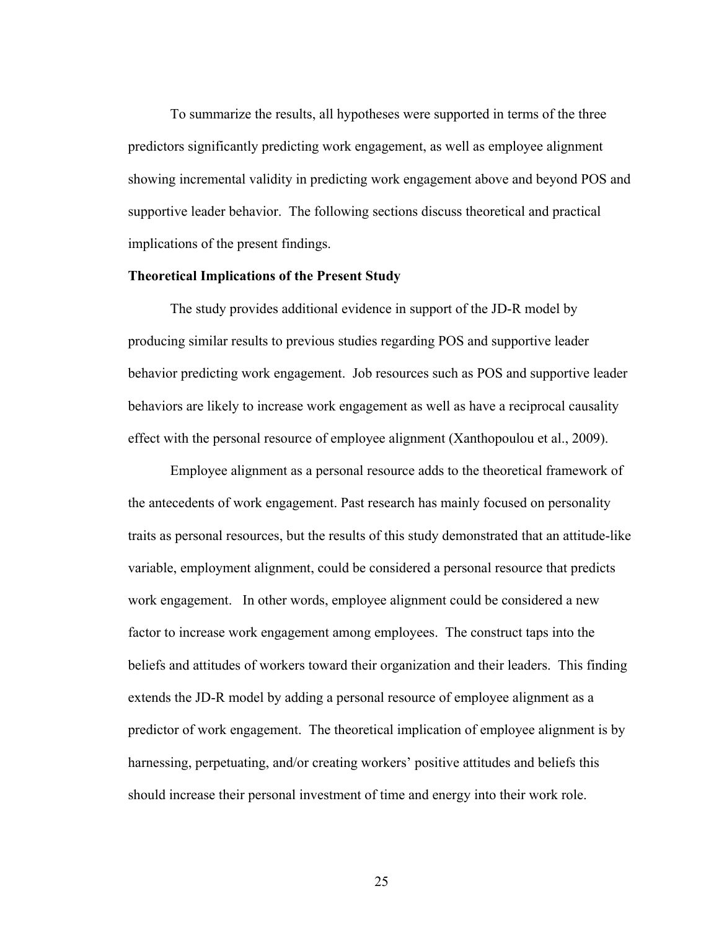To summarize the results, all hypotheses were supported in terms of the three predictors significantly predicting work engagement, as well as employee alignment showing incremental validity in predicting work engagement above and beyond POS and supportive leader behavior. The following sections discuss theoretical and practical implications of the present findings.

#### **Theoretical Implications of the Present Study**

The study provides additional evidence in support of the JD-R model by producing similar results to previous studies regarding POS and supportive leader behavior predicting work engagement. Job resources such as POS and supportive leader behaviors are likely to increase work engagement as well as have a reciprocal causality effect with the personal resource of employee alignment (Xanthopoulou et al., 2009).

Employee alignment as a personal resource adds to the theoretical framework of the antecedents of work engagement. Past research has mainly focused on personality traits as personal resources, but the results of this study demonstrated that an attitude-like variable, employment alignment, could be considered a personal resource that predicts work engagement. In other words, employee alignment could be considered a new factor to increase work engagement among employees. The construct taps into the beliefs and attitudes of workers toward their organization and their leaders. This finding extends the JD-R model by adding a personal resource of employee alignment as a predictor of work engagement. The theoretical implication of employee alignment is by harnessing, perpetuating, and/or creating workers' positive attitudes and beliefs this should increase their personal investment of time and energy into their work role.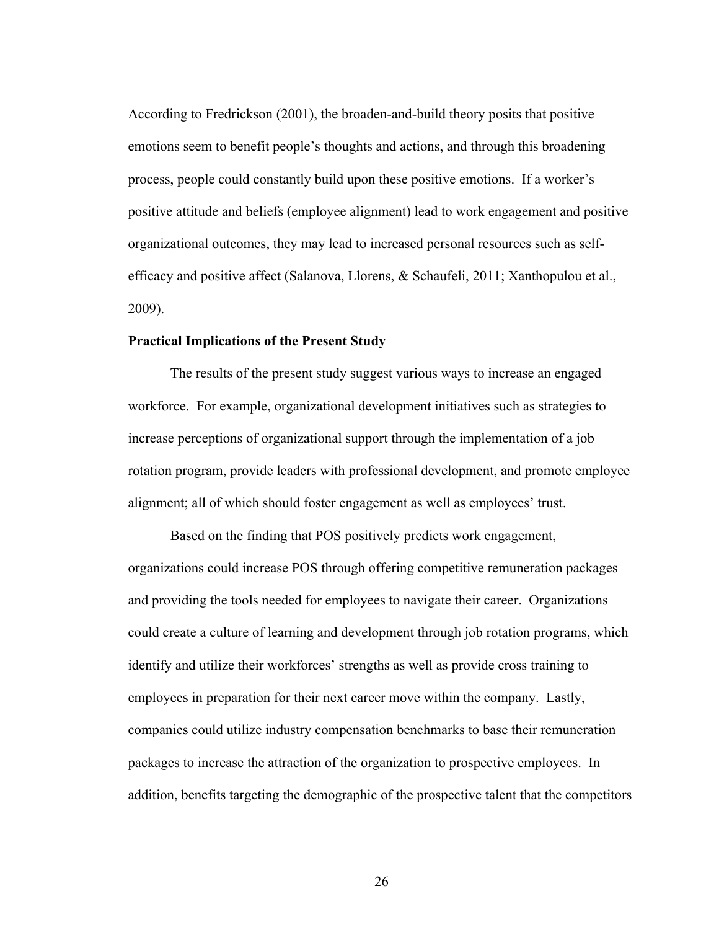According to Fredrickson (2001), the broaden-and-build theory posits that positive emotions seem to benefit people's thoughts and actions, and through this broadening process, people could constantly build upon these positive emotions. If a worker's positive attitude and beliefs (employee alignment) lead to work engagement and positive organizational outcomes, they may lead to increased personal resources such as selfefficacy and positive affect (Salanova, Llorens, & Schaufeli, 2011; Xanthopulou et al., 2009).

#### **Practical Implications of the Present Study**

The results of the present study suggest various ways to increase an engaged workforce. For example, organizational development initiatives such as strategies to increase perceptions of organizational support through the implementation of a job rotation program, provide leaders with professional development, and promote employee alignment; all of which should foster engagement as well as employees' trust.

Based on the finding that POS positively predicts work engagement, organizations could increase POS through offering competitive remuneration packages and providing the tools needed for employees to navigate their career. Organizations could create a culture of learning and development through job rotation programs, which identify and utilize their workforces' strengths as well as provide cross training to employees in preparation for their next career move within the company. Lastly, companies could utilize industry compensation benchmarks to base their remuneration packages to increase the attraction of the organization to prospective employees. In addition, benefits targeting the demographic of the prospective talent that the competitors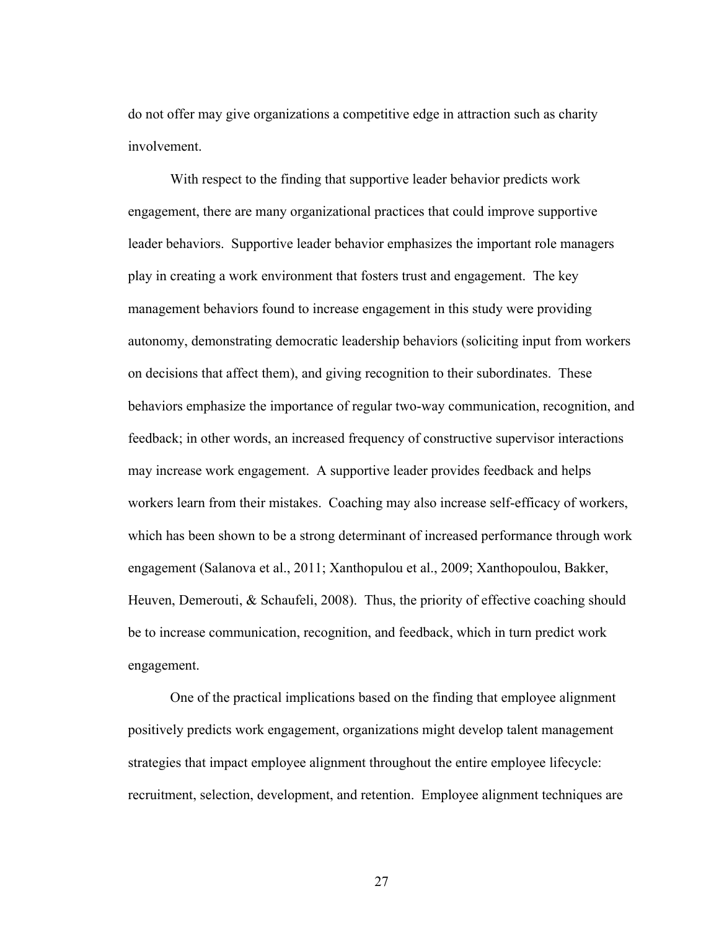do not offer may give organizations a competitive edge in attraction such as charity involvement.

With respect to the finding that supportive leader behavior predicts work engagement, there are many organizational practices that could improve supportive leader behaviors. Supportive leader behavior emphasizes the important role managers play in creating a work environment that fosters trust and engagement. The key management behaviors found to increase engagement in this study were providing autonomy, demonstrating democratic leadership behaviors (soliciting input from workers on decisions that affect them), and giving recognition to their subordinates. These behaviors emphasize the importance of regular two-way communication, recognition, and feedback; in other words, an increased frequency of constructive supervisor interactions may increase work engagement. A supportive leader provides feedback and helps workers learn from their mistakes. Coaching may also increase self-efficacy of workers, which has been shown to be a strong determinant of increased performance through work engagement (Salanova et al., 2011; Xanthopulou et al., 2009; Xanthopoulou, Bakker, Heuven, Demerouti, & Schaufeli, 2008). Thus, the priority of effective coaching should be to increase communication, recognition, and feedback, which in turn predict work engagement.

One of the practical implications based on the finding that employee alignment positively predicts work engagement, organizations might develop talent management strategies that impact employee alignment throughout the entire employee lifecycle: recruitment, selection, development, and retention. Employee alignment techniques are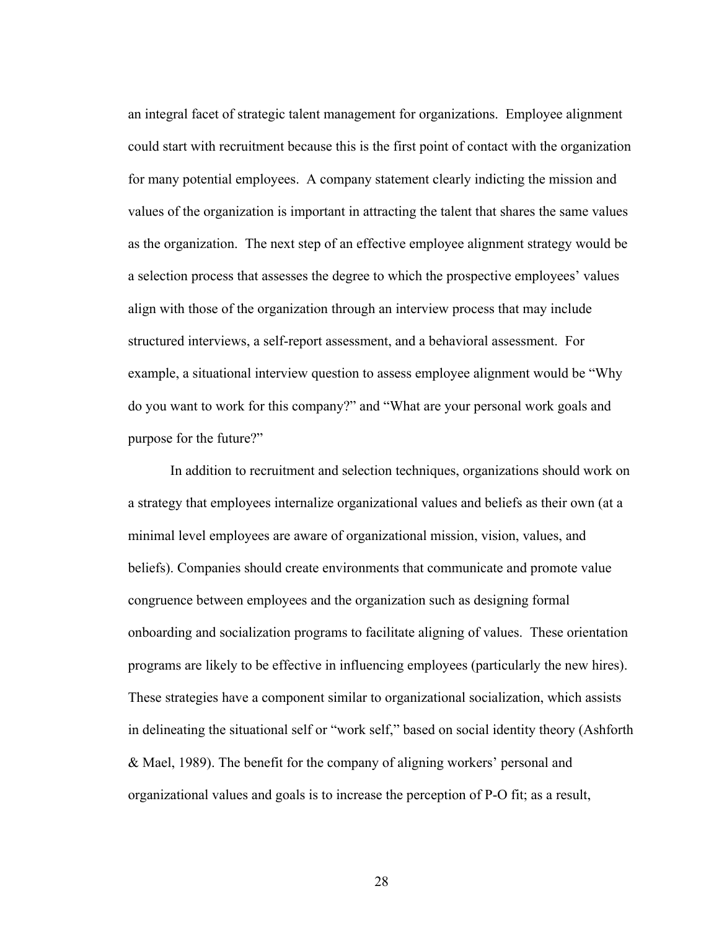an integral facet of strategic talent management for organizations.Employee alignment could start with recruitment because this is the first point of contact with the organization for many potential employees. A company statement clearly indicting the mission and values of the organization is important in attracting the talent that shares the same values as the organization. The next step of an effective employee alignment strategy would be a selection process that assesses the degree to which the prospective employees' values align with those of the organization through an interview process that may include structured interviews, a self-report assessment, and a behavioral assessment. For example, a situational interview question to assess employee alignment would be "Why do you want to work for this company?" and "What are your personal work goals and purpose for the future?"

In addition to recruitment and selection techniques, organizations should work on a strategy that employees internalize organizational values and beliefs as their own (at a minimal level employees are aware of organizational mission, vision, values, and beliefs). Companies should create environments that communicate and promote value congruence between employees and the organization such as designing formal onboarding and socialization programs to facilitate aligning of values. These orientation programs are likely to be effective in influencing employees (particularly the new hires). These strategies have a component similar to organizational socialization, which assists in delineating the situational self or "work self," based on social identity theory (Ashforth & Mael, 1989). The benefit for the company of aligning workers' personal and organizational values and goals is to increase the perception of P-O fit; as a result,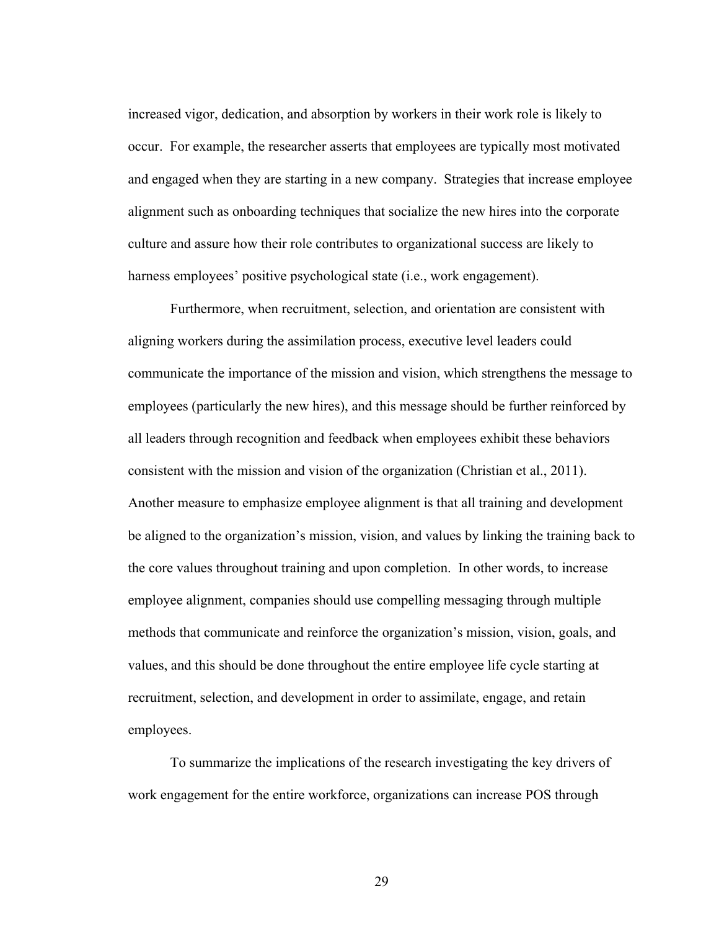increased vigor, dedication, and absorption by workers in their work role is likely to occur. For example, the researcher asserts that employees are typically most motivated and engaged when they are starting in a new company. Strategies that increase employee alignment such as onboarding techniques that socialize the new hires into the corporate culture and assure how their role contributes to organizational success are likely to harness employees' positive psychological state (i.e., work engagement).

Furthermore, when recruitment, selection, and orientation are consistent with aligning workers during the assimilation process, executive level leaders could communicate the importance of the mission and vision, which strengthens the message to employees (particularly the new hires), and this message should be further reinforced by all leaders through recognition and feedback when employees exhibit these behaviors consistent with the mission and vision of the organization (Christian et al., 2011). Another measure to emphasize employee alignment is that all training and development be aligned to the organization's mission, vision, and values by linking the training back to the core values throughout training and upon completion. In other words, to increase employee alignment, companies should use compelling messaging through multiple methods that communicate and reinforce the organization's mission, vision, goals, and values, and this should be done throughout the entire employee life cycle starting at recruitment, selection, and development in order to assimilate, engage, and retain employees.

To summarize the implications of the research investigating the key drivers of work engagement for the entire workforce, organizations can increase POS through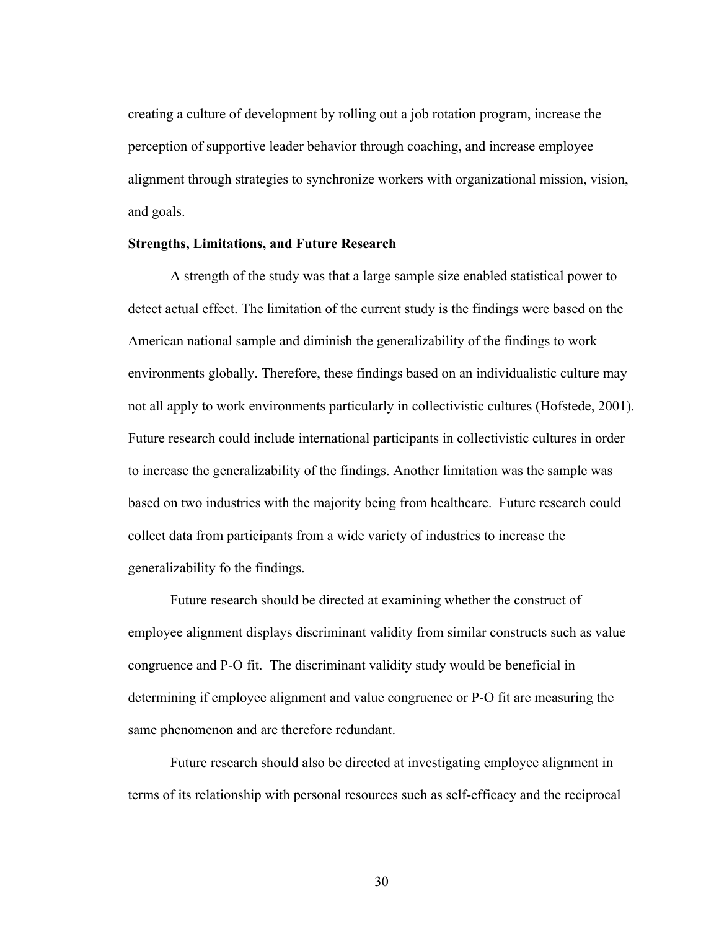creating a culture of development by rolling out a job rotation program, increase the perception of supportive leader behavior through coaching, and increase employee alignment through strategies to synchronize workers with organizational mission, vision, and goals.

#### **Strengths, Limitations, and Future Research**

A strength of the study was that a large sample size enabled statistical power to detect actual effect. The limitation of the current study is the findings were based on the American national sample and diminish the generalizability of the findings to work environments globally. Therefore, these findings based on an individualistic culture may not all apply to work environments particularly in collectivistic cultures (Hofstede, 2001). Future research could include international participants in collectivistic cultures in order to increase the generalizability of the findings. Another limitation was the sample was based on two industries with the majority being from healthcare. Future research could collect data from participants from a wide variety of industries to increase the generalizability fo the findings.

Future research should be directed at examining whether the construct of employee alignment displays discriminant validity from similar constructs such as value congruence and P-O fit. The discriminant validity study would be beneficial in determining if employee alignment and value congruence or P-O fit are measuring the same phenomenon and are therefore redundant.

Future research should also be directed at investigating employee alignment in terms of its relationship with personal resources such as self-efficacy and the reciprocal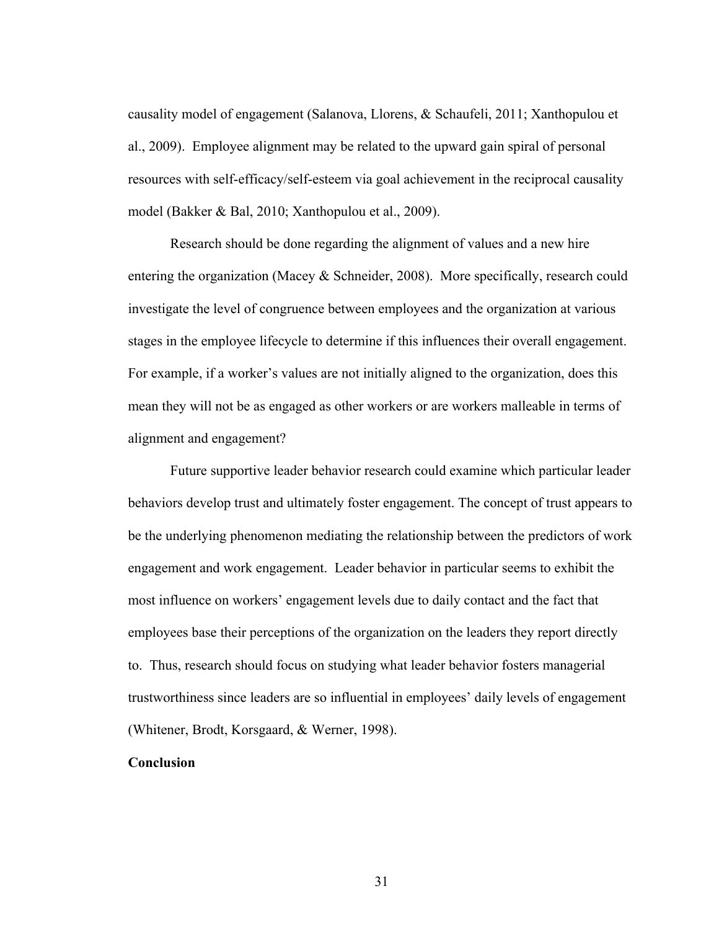causality model of engagement (Salanova, Llorens, & Schaufeli, 2011; Xanthopulou et al., 2009). Employee alignment may be related to the upward gain spiral of personal resources with self-efficacy/self-esteem via goal achievement in the reciprocal causality model (Bakker & Bal, 2010; Xanthopulou et al., 2009).

Research should be done regarding the alignment of values and a new hire entering the organization (Macey  $\&$  Schneider, 2008). More specifically, research could investigate the level of congruence between employees and the organization at various stages in the employee lifecycle to determine if this influences their overall engagement. For example, if a worker's values are not initially aligned to the organization, does this mean they will not be as engaged as other workers or are workers malleable in terms of alignment and engagement?

Future supportive leader behavior research could examine which particular leader behaviors develop trust and ultimately foster engagement. The concept of trust appears to be the underlying phenomenon mediating the relationship between the predictors of work engagement and work engagement. Leader behavior in particular seems to exhibit the most influence on workers' engagement levels due to daily contact and the fact that employees base their perceptions of the organization on the leaders they report directly to. Thus, research should focus on studying what leader behavior fosters managerial trustworthiness since leaders are so influential in employees' daily levels of engagement (Whitener, Brodt, Korsgaard, & Werner, 1998).

## **Conclusion**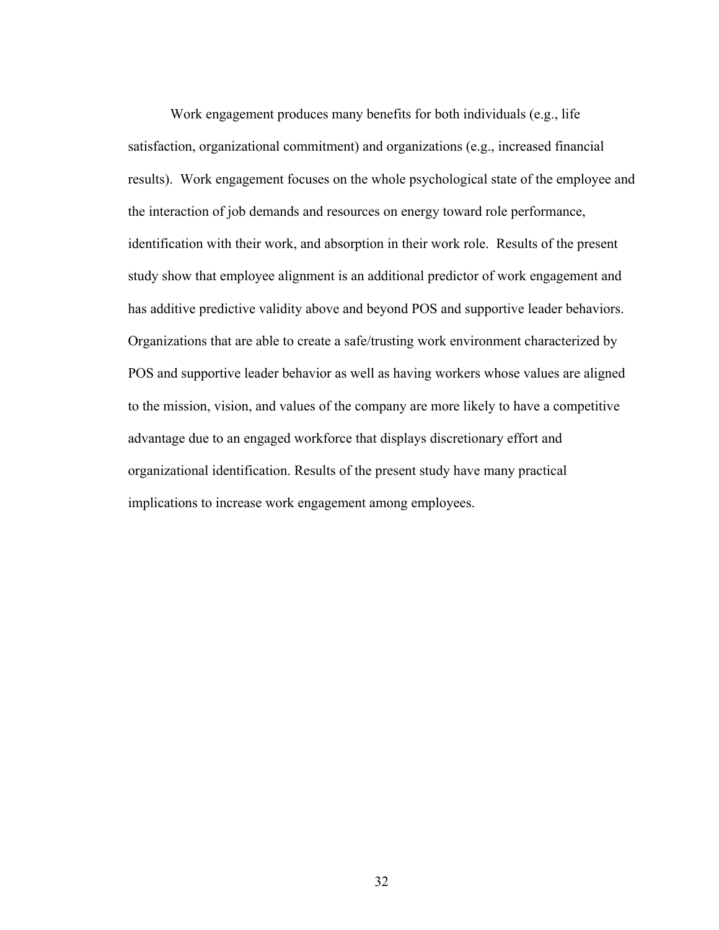Work engagement produces many benefits for both individuals (e.g., life satisfaction, organizational commitment) and organizations (e.g., increased financial results). Work engagement focuses on the whole psychological state of the employee and the interaction of job demands and resources on energy toward role performance, identification with their work, and absorption in their work role. Results of the present study show that employee alignment is an additional predictor of work engagement and has additive predictive validity above and beyond POS and supportive leader behaviors. Organizations that are able to create a safe/trusting work environment characterized by POS and supportive leader behavior as well as having workers whose values are aligned to the mission, vision, and values of the company are more likely to have a competitive advantage due to an engaged workforce that displays discretionary effort and organizational identification. Results of the present study have many practical implications to increase work engagement among employees.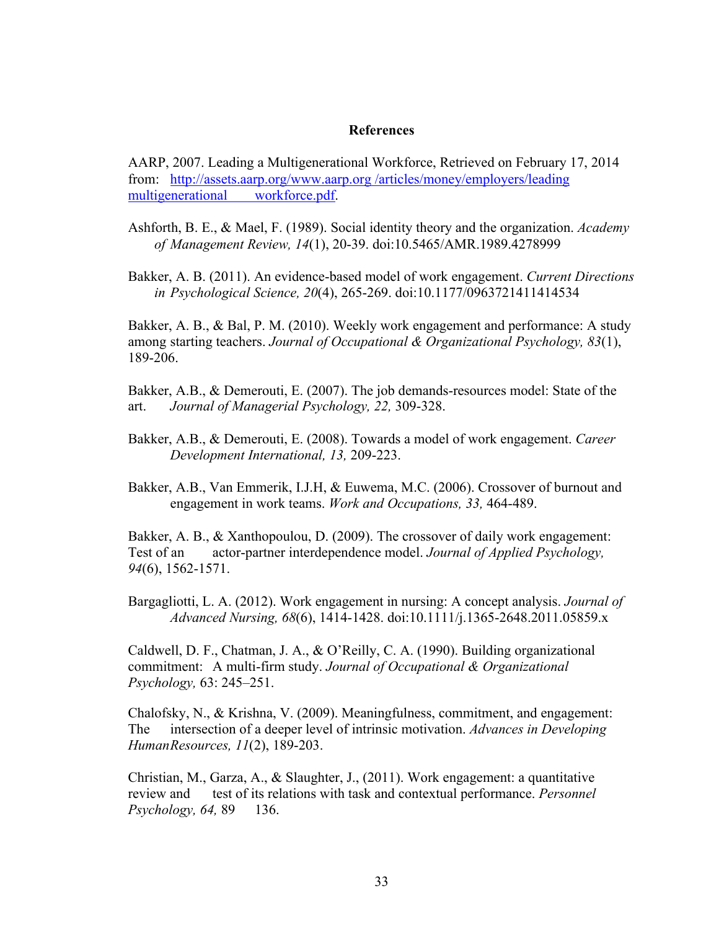#### **References**

AARP, 2007. Leading a Multigenerational Workforce, Retrieved on February 17, 2014 from: http://assets.aarp.org/www.aarp.org /articles/money/employers/leading multigenerational workforce.pdf.

- Ashforth, B. E., & Mael, F. (1989). Social identity theory and the organization. *Academy of Management Review, 14*(1), 20-39. doi:10.5465/AMR.1989.4278999
- Bakker, A. B. (2011). An evidence-based model of work engagement. *Current Directions in Psychological Science, 20*(4), 265-269. doi:10.1177/0963721411414534

Bakker, A. B., & Bal, P. M. (2010). Weekly work engagement and performance: A study among starting teachers. *Journal of Occupational & Organizational Psychology, 83*(1), 189-206.

Bakker, A.B., & Demerouti, E. (2007). The job demands-resources model: State of the art. *Journal of Managerial Psychology, 22,* 309-328.

- Bakker, A.B., & Demerouti, E. (2008). Towards a model of work engagement. *Career Development International, 13,* 209-223.
- Bakker, A.B., Van Emmerik, I.J.H, & Euwema, M.C. (2006). Crossover of burnout and engagement in work teams. *Work and Occupations, 33,* 464-489.

Bakker, A. B., & Xanthopoulou, D. (2009). The crossover of daily work engagement: Test of an actor-partner interdependence model. *Journal of Applied Psychology, 94*(6), 1562-1571.

Bargagliotti, L. A. (2012). Work engagement in nursing: A concept analysis. *Journal of Advanced Nursing, 68*(6), 1414-1428. doi:10.1111/j.1365-2648.2011.05859.x

Caldwell, D. F., Chatman, J. A., & O'Reilly, C. A. (1990). Building organizational commitment: A multi-firm study. *Journal of Occupational & Organizational Psychology,* 63: 245–251.

Chalofsky, N., & Krishna, V. (2009). Meaningfulness, commitment, and engagement: The intersection of a deeper level of intrinsic motivation. *Advances in Developing HumanResources, 11*(2), 189-203.

Christian, M., Garza, A., & Slaughter, J., (2011). Work engagement: a quantitative review and test of its relations with task and contextual performance. *Personnel Psychology, 64,* 89 136.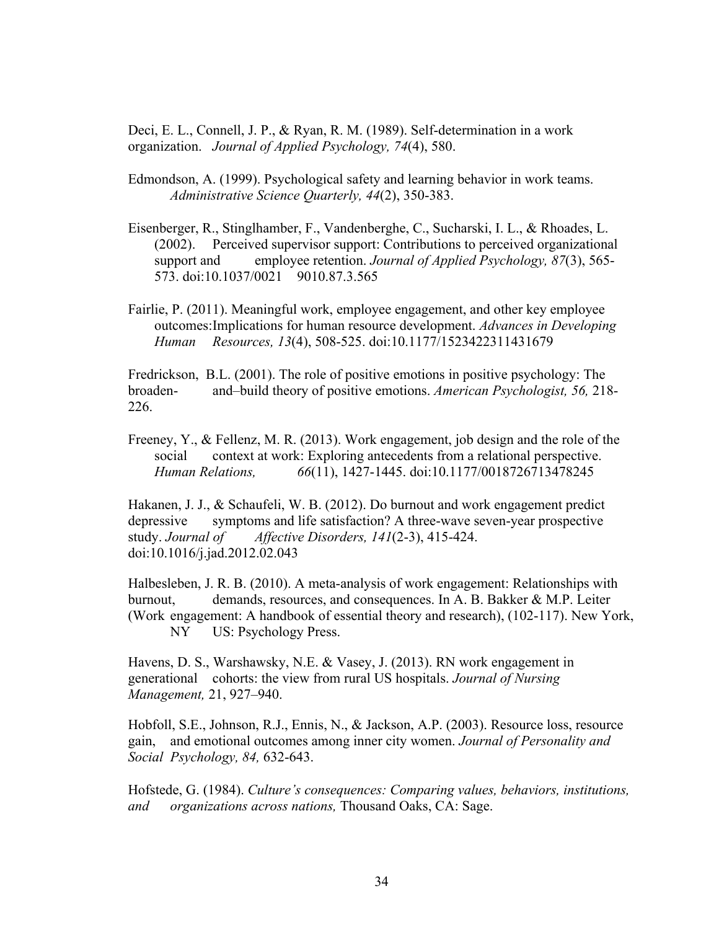Deci, E. L., Connell, J. P., & Ryan, R. M. (1989). Self-determination in a work organization. *Journal of Applied Psychology, 74*(4), 580.

- Edmondson, A. (1999). Psychological safety and learning behavior in work teams. *Administrative Science Quarterly, 44*(2), 350-383.
- Eisenberger, R., Stinglhamber, F., Vandenberghe, C., Sucharski, I. L., & Rhoades, L. (2002). Perceived supervisor support: Contributions to perceived organizational support and employee retention. *Journal of Applied Psychology, 87*(3), 565- 573. doi:10.1037/0021 9010.87.3.565
- Fairlie, P. (2011). Meaningful work, employee engagement, and other key employee outcomes:Implications for human resource development. *Advances in Developing Human Resources, 13*(4), 508-525. doi:10.1177/1523422311431679

Fredrickson, B.L. (2001). The role of positive emotions in positive psychology: The broaden- and–build theory of positive emotions. *American Psychologist, 56,* 218- 226.

Freeney, Y., & Fellenz, M. R. (2013). Work engagement, job design and the role of the social context at work: Exploring antecedents from a relational perspective. *Human Relations, 66*(11), 1427-1445. doi:10.1177/0018726713478245

Hakanen, J. J., & Schaufeli, W. B. (2012). Do burnout and work engagement predict depressive symptoms and life satisfaction? A three-wave seven-year prospective study. *Journal of Affective Disorders, 141*(2-3), 415-424. doi:10.1016/j.jad.2012.02.043

Halbesleben, J. R. B. (2010). A meta-analysis of work engagement: Relationships with burnout, demands, resources, and consequences. In A. B. Bakker & M.P. Leiter (Work engagement: A handbook of essential theory and research), (102-117). New York, NY US: Psychology Press.

Havens, D. S., Warshawsky, N.E. & Vasey, J. (2013). RN work engagement in generational cohorts: the view from rural US hospitals. *Journal of Nursing Management,* 21, 927–940.

Hobfoll, S.E., Johnson, R.J., Ennis, N., & Jackson, A.P. (2003). Resource loss, resource gain, and emotional outcomes among inner city women. *Journal of Personality and Social Psychology, 84,* 632-643.

Hofstede, G. (1984). *Culture's consequences: Comparing values, behaviors, institutions, and organizations across nations,* Thousand Oaks, CA: Sage.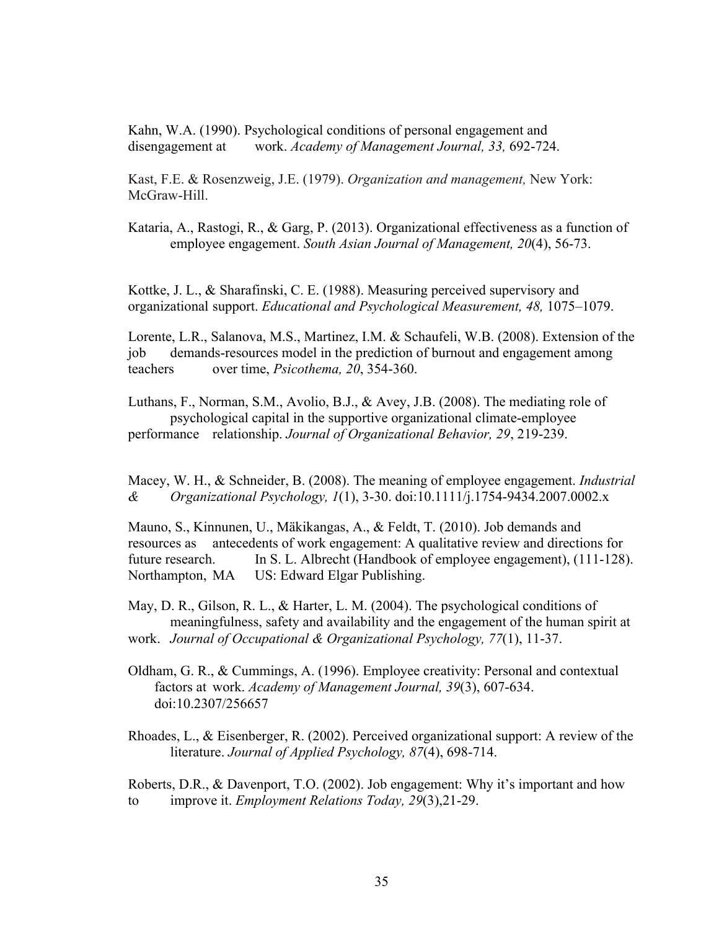Kahn, W.A. (1990). Psychological conditions of personal engagement and disengagement at work. *Academy of Management Journal, 33,* 692-724.

Kast, F.E. & Rosenzweig, J.E. (1979). *Organization and management,* New York: McGraw-Hill.

Kataria, A., Rastogi, R., & Garg, P. (2013). Organizational effectiveness as a function of employee engagement. *South Asian Journal of Management, 20*(4), 56-73.

Kottke, J. L., & Sharafinski, C. E. (1988). Measuring perceived supervisory and organizational support. *Educational and Psychological Measurement, 48,* 1075–1079.

Lorente, L.R., Salanova, M.S., Martinez, I.M. & Schaufeli, W.B. (2008). Extension of the job demands-resources model in the prediction of burnout and engagement among teachers over time, *Psicothema, 20*, 354-360.

Luthans, F., Norman, S.M., Avolio, B.J., & Avey, J.B. (2008). The mediating role of psychological capital in the supportive organizational climate-employee performance relationship. *Journal of Organizational Behavior, 29*, 219-239.

Macey, W. H., & Schneider, B. (2008). The meaning of employee engagement. *Industrial & Organizational Psychology, 1*(1), 3-30. doi:10.1111/j.1754-9434.2007.0002.x

Mauno, S., Kinnunen, U., Mäkikangas, A., & Feldt, T. (2010). Job demands and resources as antecedents of work engagement: A qualitative review and directions for future research. In S. L. Albrecht (Handbook of employee engagement), (111-128). Northampton, MA US: Edward Elgar Publishing.

May, D. R., Gilson, R. L., & Harter, L. M. (2004). The psychological conditions of meaningfulness, safety and availability and the engagement of the human spirit at work. *Journal of Occupational & Organizational Psychology, 77*(1), 11-37.

Oldham, G. R., & Cummings, A. (1996). Employee creativity: Personal and contextual factors at work. *Academy of Management Journal, 39*(3), 607-634. doi:10.2307/256657

Rhoades, L., & Eisenberger, R. (2002). Perceived organizational support: A review of the literature. *Journal of Applied Psychology, 87*(4), 698-714.

Roberts, D.R., & Davenport, T.O. (2002). Job engagement: Why it's important and how to improve it. *Employment Relations Today, 29*(3),21-29.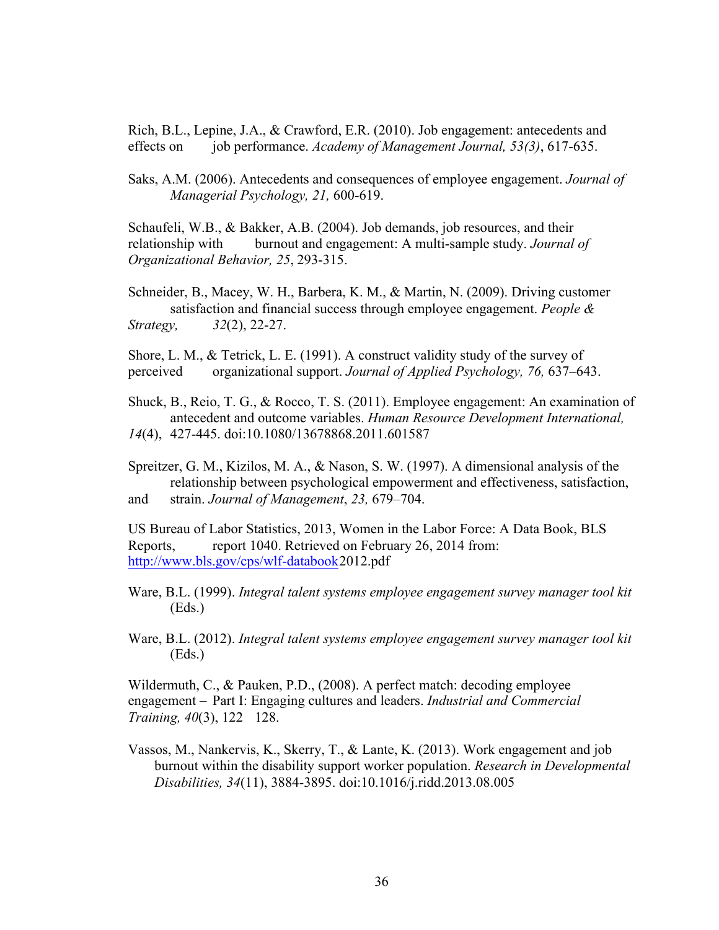Rich, B.L., Lepine, J.A., & Crawford, E.R. (2010). Job engagement: antecedents and effects on job performance. *Academy of Management Journal, 53(3)*, 617-635.

Saks, A.M. (2006). Antecedents and consequences of employee engagement. *Journal of Managerial Psychology, 21,* 600-619.

Schaufeli, W.B., & Bakker, A.B. (2004). Job demands, job resources, and their relationship with burnout and engagement: A multi-sample study. *Journal of Organizational Behavior, 25*, 293-315.

Schneider, B., Macey, W. H., Barbera, K. M., & Martin, N. (2009). Driving customer satisfaction and financial success through employee engagement. *People & Strategy, 32*(2), 22-27.

Shore, L. M., & Tetrick, L. E. (1991). A construct validity study of the survey of perceived organizational support. *Journal of Applied Psychology, 76,* 637–643.

Shuck, B., Reio, T. G., & Rocco, T. S. (2011). Employee engagement: An examination of antecedent and outcome variables. *Human Resource Development International, 14*(4), 427-445. doi:10.1080/13678868.2011.601587

Spreitzer, G. M., Kizilos, M. A., & Nason, S. W. (1997). A dimensional analysis of the relationship between psychological empowerment and effectiveness, satisfaction, and strain. *Journal of Management*, *23,* 679–704.

US Bureau of Labor Statistics, 2013, Women in the Labor Force: A Data Book, BLS Reports, report 1040. Retrieved on February 26, 2014 from: http://www.bls.gov/cps/wlf-databook2012.pdf

Ware, B.L. (1999). *Integral talent systems employee engagement survey manager tool kit* (Eds.)

Ware, B.L. (2012). *Integral talent systems employee engagement survey manager tool kit* (Eds.)

Wildermuth, C., & Pauken, P.D., (2008). A perfect match: decoding employee engagement – Part I: Engaging cultures and leaders. *Industrial and Commercial Training, 40*(3), 122 128.

Vassos, M., Nankervis, K., Skerry, T., & Lante, K. (2013). Work engagement and job burnout within the disability support worker population. *Research in Developmental Disabilities, 34*(11), 3884-3895. doi:10.1016/j.ridd.2013.08.005